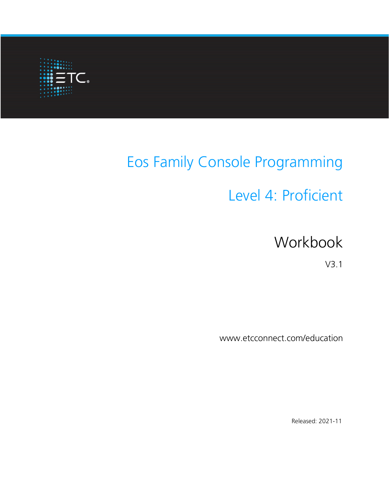

# Eos Family Console Programming

# Level 4: Proficient

# Workbook

V3.1

www.etcconnect.com/education

Released: 2021-11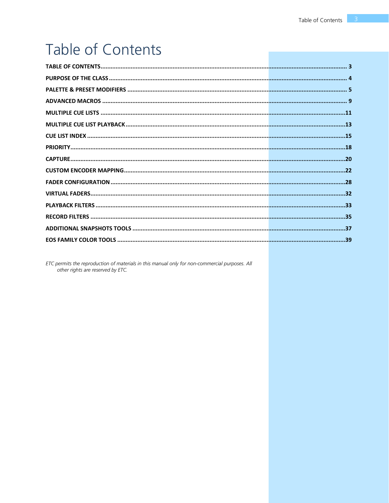# <span id="page-2-0"></span>Table of Contents

ETC permits the reproduction of materials in this manual only for non-commercial purposes. All other rights are reserved by ETC.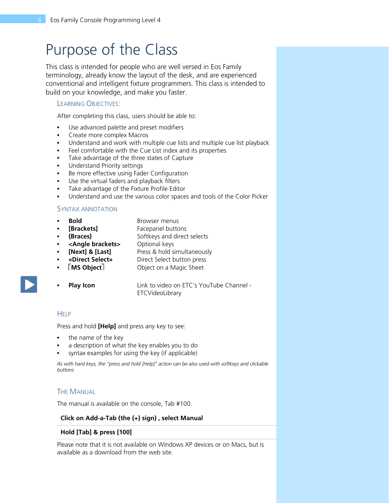# <span id="page-3-0"></span>Purpose of the Class

This class is intended for people who are well versed in Eos Family terminology, already know the layout of the desk, and are experienced conventional and intelligent fixture programmers. This class is intended to build on your knowledge, and make you faster.

#### LEARNING OBJECTIVES:

After completing this class, users should be able to:

- **•** Use advanced palette and preset modifiers
- **•** Create more complex Macros
- **•** Understand and work with multiple cue lists and multiple cue list playback
- **•** Feel comfortable with the Cue List index and its properties
- **•** Take advantage of the three states of Capture
- **•** Understand Priority settings
- **•** Be more effective using Fader Configuration
- **•** Use the virtual faders and playback filters
- **•** Take advantage of the Fixture Profile Editor
- **•** Understand and use the various color spaces and tools of the Color Picker

#### SYNTAX ANNOTATION

- - **Bold • Browser menus**
- **[Brackets] • Facepanel buttons**
- **{Braces} •** Softkeys and direct selects
- **• <Angle brackets>** Optional keys
- **[Next] & [Last]** Press & hold simultaneously
- **• «Direct Select»** Direct Select button press
- **• MS Object** Object on a Magic Sheet
- 

**Play Icon** Link to video on ETC's YouTube Channel -ETCVideoLibrary

#### **HELP**

Press and hold **[Help]** and press any key to see:

- **•** the name of the key
- **•** a description of what the key enables you to do
- **•** syntax examples for using the key (if applicable)

*As with hard keys, the "press and hold [Help]" action can be also used with softkeys and clickable buttons*

#### **THE MANUAL**

The manual is available on the console, Tab #100.

#### **Click on Add-a-Tab (the {+} sign) , select Manual**

#### **Hold [Tab] & press [100]**

Please note that it is not available on Windows XP devices or on Macs, but is available as a download from the web site.

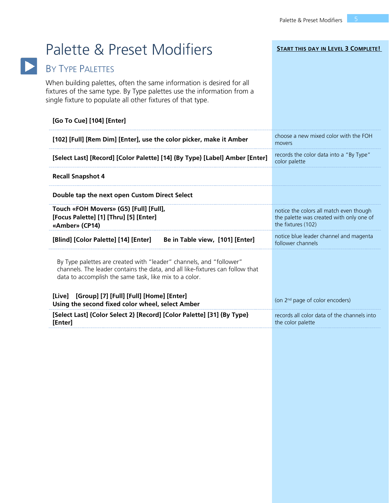**START THIS DAY IN LEVEL 3 COMPLETE!**

# <span id="page-4-0"></span>Palette & Preset Modifiers

# BY TYPE PALETTES

When building palettes, often the same information is desired for all fixtures of the same type. By Type palettes use the information from a single fixture to populate all other fixtures of that type.

| [Go To Cue] [104] [Enter]                                                                                                                                                                                      |                                                                                                           |
|----------------------------------------------------------------------------------------------------------------------------------------------------------------------------------------------------------------|-----------------------------------------------------------------------------------------------------------|
| [102] [Full] [Rem Dim] [Enter], use the color picker, make it Amber                                                                                                                                            | choose a new mixed color with the FOH<br>movers                                                           |
| [Select Last] [Record] [Color Palette] [14] {By Type} [Label] Amber [Enter]                                                                                                                                    | records the color data into a "By Type"<br>color palette                                                  |
| <b>Recall Snapshot 4</b>                                                                                                                                                                                       |                                                                                                           |
| Double tap the next open Custom Direct Select                                                                                                                                                                  |                                                                                                           |
| Touch «FOH Movers» (G5) [Full] [Full],<br>[Focus Palette] [1] [Thru] [5] [Enter]<br>«Amber» (CP14)                                                                                                             | notice the colors all match even though<br>the palette was created with only one of<br>the fixtures (102) |
| Be in Table view, [101] [Enter]<br>[Blind] [Color Palette] [14] [Enter]                                                                                                                                        | notice blue leader channel and magenta<br>follower channels                                               |
| By Type palettes are created with "leader" channels, and "follower"<br>channels. The leader contains the data, and all like-fixtures can follow that<br>data to accomplish the same task, like mix to a color. |                                                                                                           |
| [Live] [Group] [7] [Full] [Full] [Home] [Enter]<br>Using the second fixed color wheel, select Amber                                                                                                            | (on $2nd$ page of color encoders)                                                                         |
| [Select Last] {Color Select 2} [Record] [Color Palette] [31] {By Type}<br>[Enter]                                                                                                                              | records all color data of the channels into<br>the color palette                                          |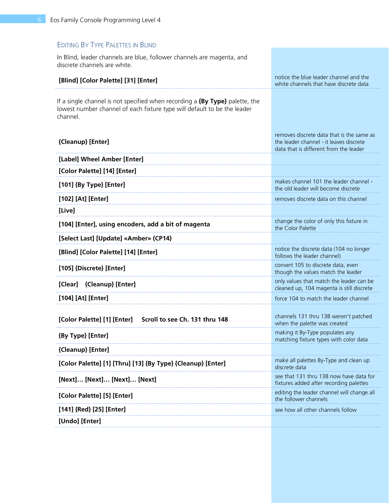### EDITING BY TYPE PALETTES IN BLIND

In Blind, leader channels are blue, follower channels are magenta, and discrete channels are white.

| [Blind] [Color Palette] [31] [Enter]                                                                                                                                     | notice the blue leader channel and the<br>white channels that have discrete data                                               |
|--------------------------------------------------------------------------------------------------------------------------------------------------------------------------|--------------------------------------------------------------------------------------------------------------------------------|
| If a single channel is not specified when recording a $\{By Type\}$ palette, the<br>lowest number channel of each fixture type will default to be the leader<br>channel. |                                                                                                                                |
| {Cleanup} [Enter]                                                                                                                                                        | removes discrete data that is the same as<br>the leader channel - it leaves discrete<br>data that is different from the leader |
| [Label] Wheel Amber [Enter]                                                                                                                                              |                                                                                                                                |
| [Color Palette] [14] [Enter]                                                                                                                                             |                                                                                                                                |
| [101] {By Type} [Enter]                                                                                                                                                  | makes channel 101 the leader channel -<br>the old leader will become discrete                                                  |
| [102] [At] [Enter]                                                                                                                                                       | removes discrete data on this channel                                                                                          |
| [Live]                                                                                                                                                                   |                                                                                                                                |
| [104] [Enter], using encoders, add a bit of magenta                                                                                                                      | change the color of only this fixture in<br>the Color Palette                                                                  |
| [Select Last] [Update] «Amber» (CP14)                                                                                                                                    |                                                                                                                                |
| [Blind] [Color Palette] [14] [Enter]                                                                                                                                     | notice the discrete data (104 no longer<br>follows the leader channel)                                                         |
| [105] {Discrete} [Enter]                                                                                                                                                 | convert 105 to discrete data, even<br>though the values match the leader                                                       |
| [Clear] {Cleanup} [Enter]                                                                                                                                                | only values that match the leader can be<br>cleaned up, 104 magenta is still discrete                                          |
| [104] [At] [Enter]                                                                                                                                                       | force 104 to match the leader channel                                                                                          |
| [Color Palette] [1] [Enter]<br>Scroll to see Ch. 131 thru 148                                                                                                            | channels 131 thru 138 weren't patched<br>when the palette was created                                                          |
| {By Type} [Enter]                                                                                                                                                        | making it By-Type populates any<br>matching fixture types with color data                                                      |
| {Cleanup} [Enter]                                                                                                                                                        |                                                                                                                                |
| [Color Palette] [1] [Thru] [13] {By Type} {Cleanup} [Enter]                                                                                                              | make all palettes By-Type and clean up<br>discrete data                                                                        |
| [Next] [Next] [Next] [Next]                                                                                                                                              | see that 131 thru 138 now have data for<br>fixtures added after recording palettes                                             |
| [Color Palette] [5] [Enter]                                                                                                                                              | editing the leader channel will change all<br>the follower channels                                                            |
| [141] {Red} [25] [Enter]                                                                                                                                                 | see how all other channels follow                                                                                              |
| [Undo] [Enter]                                                                                                                                                           |                                                                                                                                |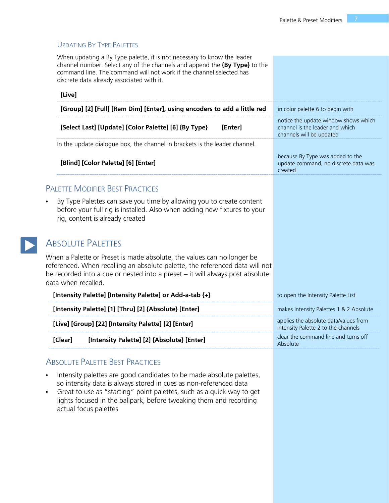Absolute

### UPDATING BY TYPE PALETTES

When updating a By Type palette, it is not necessary to know the leader channel number. Select any of the channels and append the **{By Type}** to the command line. The command will not work if the channel selected has discrete data already associated with it.

| [Live]                                                                                                                                                                                                                                                         |                                                                                                     |
|----------------------------------------------------------------------------------------------------------------------------------------------------------------------------------------------------------------------------------------------------------------|-----------------------------------------------------------------------------------------------------|
| [Group] [2] [Full] [Rem Dim] [Enter], using encoders to add a little red                                                                                                                                                                                       | in color palette 6 to begin with                                                                    |
| [Select Last] [Update] [Color Palette] [6] {By Type}<br>[Enter]                                                                                                                                                                                                | notice the update window shows which<br>channel is the leader and which<br>channels will be updated |
| In the update dialogue box, the channel in brackets is the leader channel.                                                                                                                                                                                     |                                                                                                     |
| [Blind] [Color Palette] [6] [Enter]                                                                                                                                                                                                                            | because By Type was added to the<br>update command, no discrete data was<br>created                 |
| <b>PALETTE MODIFIER BEST PRACTICES</b>                                                                                                                                                                                                                         |                                                                                                     |
| By Type Palettes can save you time by allowing you to create content<br>$\bullet$<br>before your full rig is installed. Also when adding new fixtures to your<br>rig, content is already created                                                               |                                                                                                     |
| <b>ABSOLUTE PALETTES</b>                                                                                                                                                                                                                                       |                                                                                                     |
| When a Palette or Preset is made absolute, the values can no longer be<br>referenced. When recalling an absolute palette, the referenced data will not<br>be recorded into a cue or nested into a preset - it will always post absolute<br>data when recalled. |                                                                                                     |
| [Intensity Palette] [Intensity Palette] or Add-a-tab {+}                                                                                                                                                                                                       | to open the Intensity Palette List                                                                  |
| [Intensity Palette] [1] [Thru] [2] {Absolute} [Enter]                                                                                                                                                                                                          | makes Intensity Palettes 1 & 2 Absolute                                                             |
| [Live] [Group] [22] [Intensity Palette] [2] [Enter]                                                                                                                                                                                                            | applies the absolute data/values from<br>Intensity Palette 2 to the channels                        |
| [Clear]<br>[Intensity Palette] [2] {Absolute} [Enter]                                                                                                                                                                                                          | clear the command line and turns off<br>المستحدث الممطاه                                            |

### ABSOLUTE PALETTE BEST PRACTICES

- **•** Intensity palettes are good candidates to be made absolute palettes, so intensity data is always stored in cues as non-referenced data
- **•** Great to use as "starting" point palettes, such as a quick way to get lights focused in the ballpark, before tweaking them and recording actual focus palettes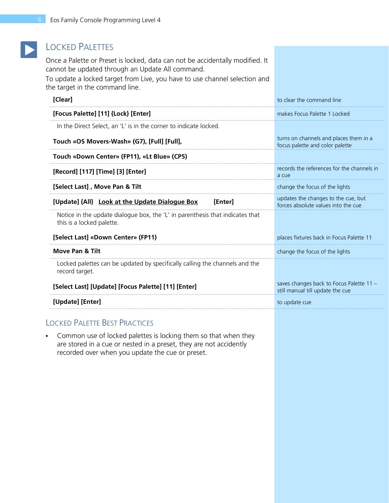# LOCKED PALETTES

 $\blacktriangleright$ 

Once a Palette or Preset is locked, data can not be accidentally modified. It cannot be updated through an Update All command.

To update a locked target from Live, you have to use channel selection and the target in the command line.

| [Clear]                                                                                                                                                                                   | to clear the command line                                                    |
|-------------------------------------------------------------------------------------------------------------------------------------------------------------------------------------------|------------------------------------------------------------------------------|
| [Focus Palette] [11] {Lock} [Enter]                                                                                                                                                       | makes Focus Palette 1 Locked                                                 |
| In the Direct Select, an 'L' is in the corner to indicate locked.                                                                                                                         |                                                                              |
| Touch «OS Movers-Wash» (G7), [Full] [Full],                                                                                                                                               | turns on channels and places them in a<br>focus palette and color palette    |
| Touch «Down Center» (FP11), «Lt Blue» (CP5)                                                                                                                                               |                                                                              |
| [Record] [117] [Time] [3] [Enter]                                                                                                                                                         | records the references for the channels in<br>a cue                          |
| [Select Last], Move Pan & Tilt                                                                                                                                                            | change the focus of the lights                                               |
| [Update] {All} Look at the Update Dialogue Box<br>[Enter]                                                                                                                                 | updates the changes to the cue, but<br>forces absolute values into the cue   |
| Notice in the update dialogue box, the 'L' in parenthesis that indicates that<br>this is a locked palette.                                                                                |                                                                              |
| [Select Last] «Down Center» (FP11)                                                                                                                                                        | places fixtures back in Focus Palette 11                                     |
| <b>Move Pan &amp; Tilt</b>                                                                                                                                                                | change the focus of the lights                                               |
| Locked palettes can be updated by specifically calling the channels and the<br>record target.                                                                                             |                                                                              |
| [Select Last] [Update] [Focus Palette] [11] [Enter]                                                                                                                                       | saves changes back to Focus Palette 11 -<br>still manual till update the cue |
| [Update] [Enter]                                                                                                                                                                          | to update cue                                                                |
| <b>LOCKED PALETTE BEST PRACTICES</b>                                                                                                                                                      |                                                                              |
| Common use of locked palettes is locking them so that when they<br>are stored in a cue or nested in a preset, they are not accidently<br>recorded over when you update the cue or preset. |                                                                              |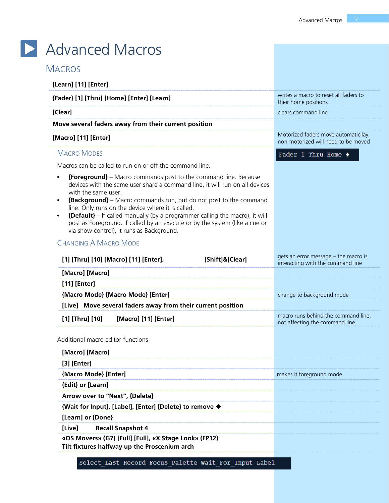<span id="page-8-0"></span>

| <b>MACROS</b>                                                                                                                                                                                                                                                                                                                                                                                                                                                                   |                 |                                                                             |
|---------------------------------------------------------------------------------------------------------------------------------------------------------------------------------------------------------------------------------------------------------------------------------------------------------------------------------------------------------------------------------------------------------------------------------------------------------------------------------|-----------------|-----------------------------------------------------------------------------|
| [Learn] [11] [Enter]                                                                                                                                                                                                                                                                                                                                                                                                                                                            |                 |                                                                             |
| {Fader} [1] [Thru] [Home] [Enter] [Learn]                                                                                                                                                                                                                                                                                                                                                                                                                                       |                 | writes a macro to reset all faders to<br>their home positions               |
| [Clear]                                                                                                                                                                                                                                                                                                                                                                                                                                                                         |                 | clears command line                                                         |
| Move several faders away from their current position                                                                                                                                                                                                                                                                                                                                                                                                                            |                 |                                                                             |
| [Macro] [11] [Enter]                                                                                                                                                                                                                                                                                                                                                                                                                                                            |                 | Motorized faders move automaticllay,<br>non-motorized will need to be moved |
| <b>MACRO MODES</b>                                                                                                                                                                                                                                                                                                                                                                                                                                                              |                 | Fader 1 Thru Home $\blacklozenge$                                           |
| Macros can be called to run on or off the command line.                                                                                                                                                                                                                                                                                                                                                                                                                         |                 |                                                                             |
| devices with the same user share a command line, it will run on all devices<br>with the same user.<br><b>{Background}</b> – Macro commands run, but do not post to the command<br>$\bullet$<br>line. Only runs on the device where it is called.<br><b>{Default}</b> – If called manually (by a programmer calling the macro), it will<br>$\bullet$<br>post as Foreground. If called by an execute or by the system (like a cue or<br>via show control), it runs as Background. |                 |                                                                             |
|                                                                                                                                                                                                                                                                                                                                                                                                                                                                                 |                 |                                                                             |
| <b>CHANGING A MACRO MODE</b>                                                                                                                                                                                                                                                                                                                                                                                                                                                    |                 |                                                                             |
| [1] [Thru] [10] [Macro] [11] [Enter],                                                                                                                                                                                                                                                                                                                                                                                                                                           | [Shift]&[Clear] | gets an error message - the macro is                                        |
| [Macro] [Macro]                                                                                                                                                                                                                                                                                                                                                                                                                                                                 |                 | interacting with the command line                                           |
| [11] [Enter]                                                                                                                                                                                                                                                                                                                                                                                                                                                                    |                 |                                                                             |
| {Macro Mode} {Macro Mode} [Enter]                                                                                                                                                                                                                                                                                                                                                                                                                                               |                 | change to background mode                                                   |
| [Live] Move several faders away from their current position                                                                                                                                                                                                                                                                                                                                                                                                                     |                 |                                                                             |
| [1] [Thru] [10]<br>[Macro] [11] [Enter]                                                                                                                                                                                                                                                                                                                                                                                                                                         |                 | macro runs behind the command line,<br>not affecting the command line       |
| Additional macro editor functions                                                                                                                                                                                                                                                                                                                                                                                                                                               |                 |                                                                             |
| [Macro] [Macro]                                                                                                                                                                                                                                                                                                                                                                                                                                                                 |                 |                                                                             |
| $[3]$ [Enter]                                                                                                                                                                                                                                                                                                                                                                                                                                                                   |                 |                                                                             |
| {Macro Mode} [Enter]                                                                                                                                                                                                                                                                                                                                                                                                                                                            |                 | makes it foreground mode                                                    |
| {Edit} or [Learn]                                                                                                                                                                                                                                                                                                                                                                                                                                                               |                 |                                                                             |
| Arrow over to "Next", {Delete}                                                                                                                                                                                                                                                                                                                                                                                                                                                  |                 |                                                                             |
| {Wait for Input}, [Label], [Enter] {Delete} to remove ♦                                                                                                                                                                                                                                                                                                                                                                                                                         |                 |                                                                             |
| [Learn] or {Done}                                                                                                                                                                                                                                                                                                                                                                                                                                                               |                 |                                                                             |

 $\overline{\phantom{a}}$ 

Select\_Last Record Focus\_Palette Wait\_For\_Input Label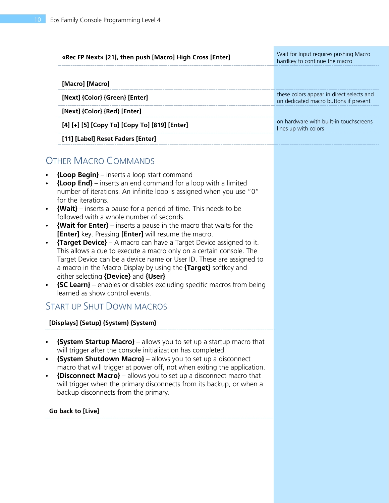| «Rec FP Next» [21], then push [Macro] High Cross [Enter] | Wait for Input requires pushing Macro<br>hardkey to continue the macro             |
|----------------------------------------------------------|------------------------------------------------------------------------------------|
| [Macro] [Macro]                                          |                                                                                    |
| [Next] {Color} {Green} [Enter]                           | these colors appear in direct selects and<br>on dedicated macro buttons if present |
| [Next] {Color} {Red} [Enter]                             |                                                                                    |
| [4] [+] [5] [Copy To] [Copy To] [819] [Enter]            | on hardware with built-in touchscreens<br>lines up with colors                     |
| [11] [Label] Reset Faders [Enter]                        |                                                                                    |

# OTHER MACRO COMMANDS

- **• {Loop Begin}** inserts a loop start command
- **• {Loop End}** inserts an end command for a loop with a limited number of iterations. An infinite loop is assigned when you use "0" for the iterations.
- **• {Wait}** inserts a pause for a period of time. This needs to be followed with a whole number of seconds.
- **• {Wait for Enter}** inserts a pause in the macro that waits for the **[Enter]** key. Pressing **[Enter]** will resume the macro.
- **• {Target Device}** A macro can have a Target Device assigned to it. This allows a cue to execute a macro only on a certain console. The Target Device can be a device name or User ID. These are assigned to a macro in the Macro Display by using the **{Target}** softkey and either selecting **{Device}** and **{User}**.
- **• {SC Learn}** enables or disables excluding specific macros from being learned as show control events.

# START UP SHUT DOWN MACROS

#### **[Displays] {Setup} {System} {System}**

- **• {System Startup Macro}** allows you to set up a startup macro that will trigger after the console initialization has completed.
- **• {System Shutdown Macro}** allows you to set up a disconnect macro that will trigger at power off, not when exiting the application.
- **• {Disconnect Macro}** allows you to set up a disconnect macro that will trigger when the primary disconnects from its backup, or when a backup disconnects from the primary.

#### **Go back to [Live]**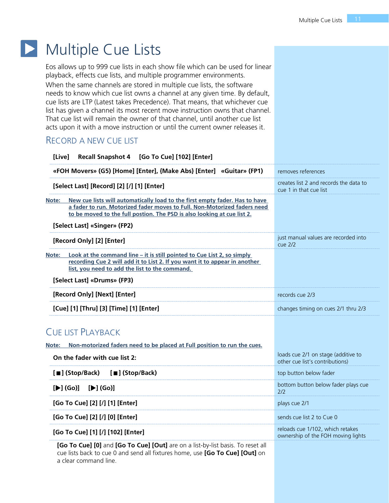### $\blacktriangleright$ Multiple Cue Lists

<span id="page-10-0"></span>Eos allows up to 999 cue lists in each show file which can be used for linear playback, effects cue lists, and multiple programmer environments.

When the same channels are stored in multiple cue lists, the software needs to know which cue list owns a channel at any given time. By default, cue lists are LTP (Latest takes Precedence). That means, that whichever cue list has given a channel its most recent move instruction owns that channel. That cue list will remain the owner of that channel, until another cue list acts upon it with a move instruction or until the current owner releases it.

## RECORD A NEW CUE LIST

| [Live]                        | Recall Snapshot 4 [Go To Cue] [102] [Enter]                                                                                                                                                                                                                        |                                                                        |
|-------------------------------|--------------------------------------------------------------------------------------------------------------------------------------------------------------------------------------------------------------------------------------------------------------------|------------------------------------------------------------------------|
|                               | «FOH Movers» (G5) [Home] [Enter], {Make Abs} [Enter] «Guitar» (FP1)                                                                                                                                                                                                | removes references                                                     |
|                               | [Select Last] [Record] [2] [/] [1] [Enter]                                                                                                                                                                                                                         | creates list 2 and records the data to<br>cue 1 in that cue list       |
| Note:                         | New cue lists will automatically load to the first empty fader. Has to have<br>a fader to run. Motorized fader moves to Full. Non-Motorized faders need<br>to be moved to the full postion. The PSD is also looking at cue list 2.<br>[Select Last] «Singer» (FP2) |                                                                        |
| [Record Only] [2] [Enter]     |                                                                                                                                                                                                                                                                    | just manual values are recorded into<br>$cue$ 2/2                      |
| Note:                         | Look at the command line – it is still pointed to Cue List 2, so simply<br>recording Cue 2 will add it to List 2. If you want it to appear in another<br>list, you need to add the list to the command.<br>[Select Last] «Drums» (FP3)                             |                                                                        |
|                               | [Record Only] [Next] [Enter]                                                                                                                                                                                                                                       | records cue 2/3                                                        |
|                               | [Cue] [1] [Thru] [3] [Time] [1] [Enter]                                                                                                                                                                                                                            | changes timing on cues 2/1 thru 2/3                                    |
| <b>CUE LIST PLAYBACK</b>      |                                                                                                                                                                                                                                                                    |                                                                        |
| Note:                         | Non-motorized faders need to be placed at Full position to run the cues.                                                                                                                                                                                           |                                                                        |
|                               | On the fader with cue list 2:                                                                                                                                                                                                                                      | loads cue 2/1 on stage (additive to<br>other cue list's contributions) |
| [■] (Stop/Back)               | [■] (Stop/Back)                                                                                                                                                                                                                                                    | top button below fader                                                 |
| $[\blacktriangleright]$ (Go)] | $[\blacktriangleright]$ (Go)]                                                                                                                                                                                                                                      | bottom button below fader plays cue<br>2/2                             |
|                               | [Go To Cue] [2] [/] [1] [Enter]                                                                                                                                                                                                                                    | plays cue 2/1                                                          |
|                               | [Go To Cue] [2] [/] [0] [Enter]                                                                                                                                                                                                                                    | sends cue list 2 to Cue 0                                              |
|                               | [Go To Cue] [1] [/] [102] [Enter]                                                                                                                                                                                                                                  | reloads cue 1/102, which retakes<br>ownership of the FOH moving lights |
|                               | [Go To Cue] [0] and [Go To Cue] [Out] are on a list-by-list basis. To reset all                                                                                                                                                                                    |                                                                        |

cue lists back to cue 0 and send all fixtures home, use **[Go To Cue] [Out]** on a clear command line.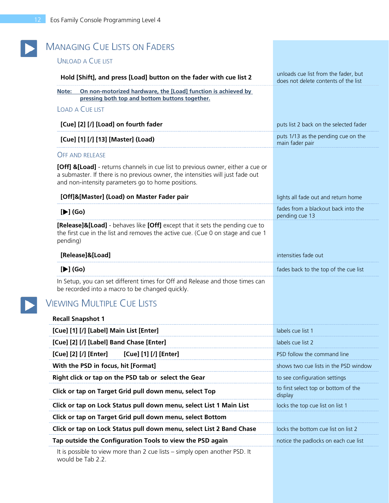| <b>MANAGING CUE LISTS ON FADERS</b>                                                                                                                                                                                     |                                                                              |
|-------------------------------------------------------------------------------------------------------------------------------------------------------------------------------------------------------------------------|------------------------------------------------------------------------------|
| <b>UNLOAD A CUE LIST</b>                                                                                                                                                                                                |                                                                              |
| Hold [Shift], and press [Load] button on the fader with cue list 2                                                                                                                                                      | unloads cue list from the fader, but<br>does not delete contents of the list |
| On non-motorized hardware, the [Load] function is achieved by<br>Note:<br>pressing both top and bottom buttons together.                                                                                                |                                                                              |
| <b>LOAD A CUE LIST</b>                                                                                                                                                                                                  |                                                                              |
| [Cue] [2] [/] [Load] on fourth fader                                                                                                                                                                                    | puts list 2 back on the selected fader                                       |
| [Cue] [1] [/] [13] [Master] (Load)                                                                                                                                                                                      | puts 1/13 as the pending cue on the<br>main fader pair                       |
| <b>OFF AND RELEASE</b>                                                                                                                                                                                                  |                                                                              |
| [Off] &[Load] - returns channels in cue list to previous owner, either a cue or<br>a submaster. If there is no previous owner, the intensities will just fade out<br>and non-intensity parameters go to home positions. |                                                                              |
| [Off]&[Master] (Load) on Master Fader pair                                                                                                                                                                              | lights all fade out and return home                                          |
| $[\blacktriangleright]$ (Go)                                                                                                                                                                                            | fades from a blackout back into the<br>pending cue 13                        |
| <b>[Release]&amp;[Load]</b> - behaves like [Off] except that it sets the pending cue to<br>the first cue in the list and removes the active cue. (Cue 0 on stage and cue 1<br>pending)                                  |                                                                              |
| [Release]&[Load]                                                                                                                                                                                                        | intensities fade out                                                         |
| $[\blacktriangleright]$ (Go)                                                                                                                                                                                            | fades back to the top of the cue list                                        |
| In Setup, you can set different times for Off and Release and those times can<br>be recorded into a macro to be changed quickly.                                                                                        |                                                                              |
| <b>VIEWING MULTIPLE CUE LISTS</b>                                                                                                                                                                                       |                                                                              |
| <b>Recall Snapshot 1</b>                                                                                                                                                                                                |                                                                              |
| [Cue] [1] [/] [Label] Main List [Enter]                                                                                                                                                                                 | labels cue list 1                                                            |
| [Cue] [2] [/] [Label] Band Chase [Enter]                                                                                                                                                                                | labels cue list 2                                                            |
| [Cue] [2] [/] [Enter]<br>[Cue] [1] [/] [Enter]                                                                                                                                                                          | PSD follow the command line                                                  |
| With the PSD in focus, hit [Format]                                                                                                                                                                                     | shows two cue lists in the PSD window                                        |
| Right click or tap on the PSD tab or select the Gear                                                                                                                                                                    | to see configuration settings                                                |
| Click or tap on Target Grid pull down menu, select Top                                                                                                                                                                  | to first select top or bottom of the<br>display                              |
| Click or tap on Lock Status pull down menu, select List 1 Main List                                                                                                                                                     | locks the top cue list on list 1                                             |
| Click or tap on Target Grid pull down menu, select Bottom                                                                                                                                                               |                                                                              |
| Click or tap on Lock Status pull down menu, select List 2 Band Chase                                                                                                                                                    | locks the bottom cue list on list 2                                          |
| Tap outside the Configuration Tools to view the PSD again                                                                                                                                                               | notice the padlocks on each cue list                                         |
| It is possible to view more than 2 cue lists - simply open another PSD. It                                                                                                                                              |                                                                              |

would be Tab 2.2.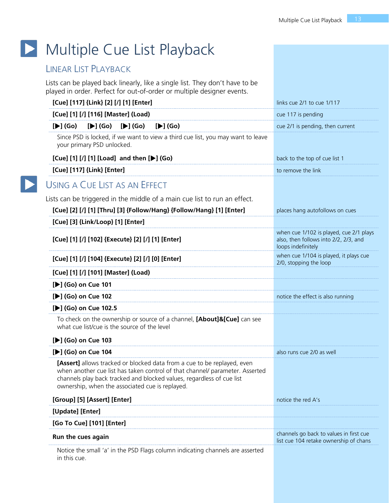# Multiple Cue List Playback

# <span id="page-12-0"></span>LINEAR LIST PLAYBACK

 $\blacktriangleright$ 

Lists can be played back linearly, like a single list. They don't have to be played in order. Perfect for out-of-order or multiple designer events.

| [Cue] [117] {Link} [2] [/] [1] [Enter]                                                                                                                                                                                                                                              | links cue 2/1 to cue 1/117                                                                             |
|-------------------------------------------------------------------------------------------------------------------------------------------------------------------------------------------------------------------------------------------------------------------------------------|--------------------------------------------------------------------------------------------------------|
| [Cue] [1] [/] [116] [Master] (Load)                                                                                                                                                                                                                                                 | cue 117 is pending                                                                                     |
| $[\blacktriangleright]$ (Go)<br>$[\blacktriangleright]$ (Go)<br>$[\blacktriangleright]$ (Go)<br>$[\blacktriangleright]$ (Go)                                                                                                                                                        | cue 2/1 is pending, then current                                                                       |
| Since PSD is locked, if we want to view a third cue list, you may want to leave<br>your primary PSD unlocked.                                                                                                                                                                       |                                                                                                        |
| [Cue] [1] [/] [1] [Load] and then [▶] (Go)                                                                                                                                                                                                                                          | back to the top of cue list 1                                                                          |
| [Cue] [117] {Link} [Enter]                                                                                                                                                                                                                                                          | to remove the link                                                                                     |
| USING A CUE LIST AS AN EFFECT                                                                                                                                                                                                                                                       |                                                                                                        |
| Lists can be triggered in the middle of a main cue list to run an effect.                                                                                                                                                                                                           |                                                                                                        |
| [Cue] [2] [/] [1] [Thru] [3] {Follow/Hang} {Follow/Hang} [1] [Enter]                                                                                                                                                                                                                | places hang autofollows on cues                                                                        |
| [Cue] [3] {Link/Loop} [1] [Enter]                                                                                                                                                                                                                                                   |                                                                                                        |
| [Cue] [1] [/] [102] {Execute} [2] [/] [1] [Enter]                                                                                                                                                                                                                                   | when cue 1/102 is played, cue 2/1 plays<br>also, then follows into 2/2, 2/3, and<br>loops indefinitely |
| [Cue] [1] [/] [104] {Execute} [2] [/] [0] [Enter]                                                                                                                                                                                                                                   | when cue 1/104 is played, it plays cue<br>2/0, stopping the loop                                       |
| [Cue] [1] [/] [101] [Master] (Load)                                                                                                                                                                                                                                                 |                                                                                                        |
| [▶] (Go) on Cue 101                                                                                                                                                                                                                                                                 |                                                                                                        |
| [D] (Go) on Cue 102                                                                                                                                                                                                                                                                 | notice the effect is also running                                                                      |
| [▶] (Go) on Cue 102.5                                                                                                                                                                                                                                                               |                                                                                                        |
| To check on the ownership or source of a channel, [About]&[Cue] can see<br>what cue list/cue is the source of the level                                                                                                                                                             |                                                                                                        |
| [▶] (Go) on Cue 103                                                                                                                                                                                                                                                                 |                                                                                                        |
| [D] (Go) on Cue 104                                                                                                                                                                                                                                                                 | also runs cue 2/0 as well                                                                              |
| [Assert] allows tracked or blocked data from a cue to be replayed, even<br>when another cue list has taken control of that channel/ parameter. Asserted<br>channels play back tracked and blocked values, regardless of cue list<br>ownership, when the associated cue is replayed. |                                                                                                        |
| [Group] [5] [Assert] [Enter]                                                                                                                                                                                                                                                        | notice the red A's                                                                                     |
| [Update] [Enter]                                                                                                                                                                                                                                                                    |                                                                                                        |
| [Go To Cue] [101] [Enter]                                                                                                                                                                                                                                                           |                                                                                                        |
| Run the cues again                                                                                                                                                                                                                                                                  | channels go back to values in first cue<br>list cue 104 retake ownership of chans                      |
| Notice the small 'a' in the PSD Flags column indicating channels are asserted<br>in this cue.                                                                                                                                                                                       |                                                                                                        |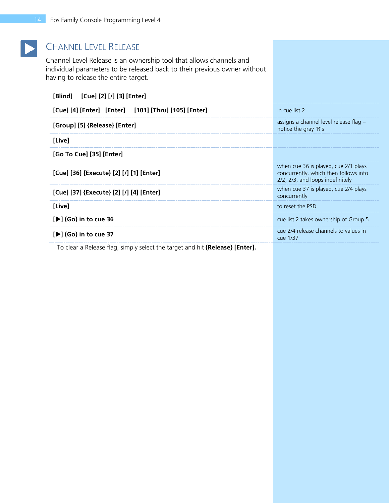

# CHANNEL LEVEL RELEASE

Channel Level Release is an ownership tool that allows channels and individual parameters to be released back to their previous owner without having to release the entire target.

| [Blind] [Cue] [2] [/] [3] [Enter]                    |                                                                                                                   |
|------------------------------------------------------|-------------------------------------------------------------------------------------------------------------------|
| [Cue] [4] [Enter] [Enter] [101] [Thru] [105] [Enter] | in cue list 2                                                                                                     |
| [Group] [5] {Release} [Enter]                        | assigns a channel level release flag -<br>notice the gray 'R's                                                    |
| [Live]                                               |                                                                                                                   |
| [Go To Cue] [35] [Enter]                             |                                                                                                                   |
| [Cue] [36] {Execute} [2] [/] [1] [Enter]             | when cue 36 is played, cue 2/1 plays<br>concurrently, which then follows into<br>2/2, 2/3, and loops indefinitely |
| [Cue] [37] {Execute} [2] [/] [4] [Enter]             | when cue 37 is played, cue 2/4 plays<br>concurrently                                                              |
| [Live]                                               | to reset the PSD                                                                                                  |
| [De] (Go) in to cue 36                               | cue list 2 takes ownership of Group 5                                                                             |
| [▶] (Go) in to cue 37                                | cue 2/4 release channels to values in<br>cue 1/37                                                                 |
|                                                      |                                                                                                                   |

To clear a Release flag, simply select the target and hit **{Release} [Enter].**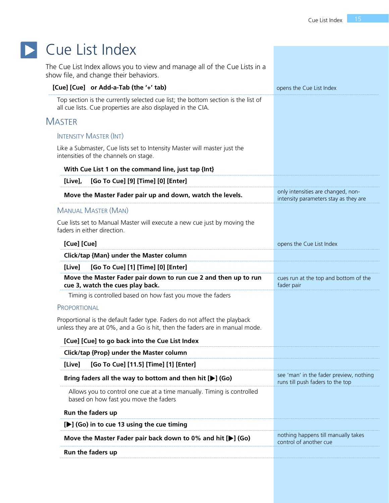<span id="page-14-0"></span>

| Cue List Index                                                                                                                                           |                                                                             |
|----------------------------------------------------------------------------------------------------------------------------------------------------------|-----------------------------------------------------------------------------|
| The Cue List Index allows you to view and manage all of the Cue Lists in a<br>show file, and change their behaviors.                                     |                                                                             |
| [Cue] [Cue] or Add-a-Tab (the '+' tab)                                                                                                                   | opens the Cue List Index                                                    |
| Top section is the currently selected cue list; the bottom section is the list of<br>all cue lists. Cue properties are also displayed in the CIA.        |                                                                             |
| <b>MASTER</b>                                                                                                                                            |                                                                             |
| <b>INTENSITY MASTER (INT)</b>                                                                                                                            |                                                                             |
| Like a Submaster, Cue lists set to Intensity Master will master just the<br>intensities of the channels on stage.                                        |                                                                             |
| With Cue List 1 on the command line, just tap {Int}                                                                                                      |                                                                             |
| [Go To Cue] [9] [Time] [0] [Enter]<br>[Live],                                                                                                            |                                                                             |
| Move the Master Fader pair up and down, watch the levels.                                                                                                | only intensities are changed, non-<br>intensity parameters stay as they are |
| <b>MANUAL MASTER (MAN)</b>                                                                                                                               |                                                                             |
| Cue lists set to Manual Master will execute a new cue just by moving the<br>faders in either direction.                                                  |                                                                             |
| [Cue] [Cue]                                                                                                                                              | opens the Cue List Index                                                    |
| Click/tap {Man} under the Master column                                                                                                                  |                                                                             |
| [Go To Cue] [1] [Time] [0] [Enter]<br>[Live]                                                                                                             |                                                                             |
| Move the Master Fader pair down to run cue 2 and then up to run<br>cue 3, watch the cues play back.                                                      | cues run at the top and bottom of the<br>fader pair                         |
| Timing is controlled based on how fast you move the faders                                                                                               |                                                                             |
| PROPORTIONAL                                                                                                                                             |                                                                             |
| Proportional is the default fader type. Faders do not affect the playback<br>unless they are at 0%, and a Go is hit, then the faders are in manual mode. |                                                                             |
| [Cue] [Cue] to go back into the Cue List Index                                                                                                           |                                                                             |
| Click/tap {Prop} under the Master column                                                                                                                 |                                                                             |
| [Go To Cue] [11.5] [Time] [1] [Enter]<br>[Live]                                                                                                          |                                                                             |
| Bring faders all the way to bottom and then hit $[\triangleright]$ (Go)                                                                                  | see 'man' in the fader preview, nothing<br>runs till push faders to the top |
| Allows you to control one cue at a time manually. Timing is controlled<br>based on how fast you move the faders                                          |                                                                             |
| Run the faders up                                                                                                                                        |                                                                             |
| [▶] (Go) in to cue 13 using the cue timing                                                                                                               |                                                                             |
| Move the Master Fader pair back down to 0% and hit $[\blacktriangleright]$ (Go)                                                                          | nothing happens till manually takes<br>control of another cue               |
|                                                                                                                                                          |                                                                             |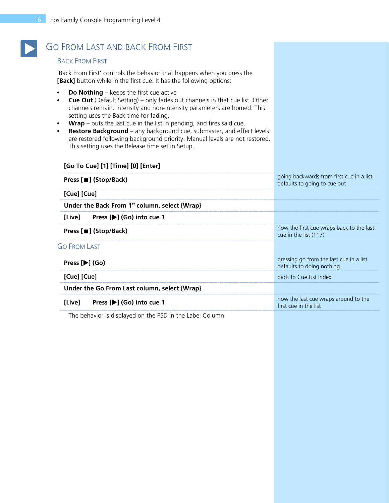# GO FROM LAST AND BACK FROM FIRST

#### BACK FROM FIRST

'Back From First' controls the behavior that happens when you press the **[Back]** button while in the first cue. It has the following options:

**• Do Nothing** – keeps the first cue active

**[Go To Cue] [1] [Time] [0] [Enter]**

- **• Cue Out** (Default Setting) only fades out channels in that cue list. Other channels remain. Intensity and non-intensity parameters are homed. This setting uses the Back time for fading.
- **• Wrap** puts the last cue in the list in pending, and fires said cue.
- **• Restore Background** any background cue, submaster, and effect levels are restored following background priority. Manual levels are not restored. This setting uses the Release time set in Setup.

| [Go To Cue] [1] [Time] [0] [Enter]                        |                                                                          |
|-----------------------------------------------------------|--------------------------------------------------------------------------|
| Press [■] (Stop/Back)                                     | going backwards from first cue in a list<br>defaults to going to cue out |
| [Cue] [Cue]                                               |                                                                          |
| Under the Back From 1 <sup>st</sup> column, select {Wrap} |                                                                          |
| Press [▶] (Go) into cue 1<br>[Live]                       |                                                                          |
| Press [■] (Stop/Back)                                     | now the first cue wraps back to the last<br>cue in the list (117)        |
| <b>GO FROM LAST</b>                                       |                                                                          |
| Press $[\blacktriangleright]$ (Go)                        | pressing go from the last cue in a list<br>defaults to doing nothing     |
| [Cue] [Cue]                                               | back to Cue List Index                                                   |
| Under the Go From Last column, select {Wrap}              |                                                                          |
| Press [▶] (Go) into cue 1<br>[Live]                       | now the last cue wraps around to the<br>first cue in the list            |
|                                                           |                                                                          |

The behavior is displayed on the PSD in the Label Column.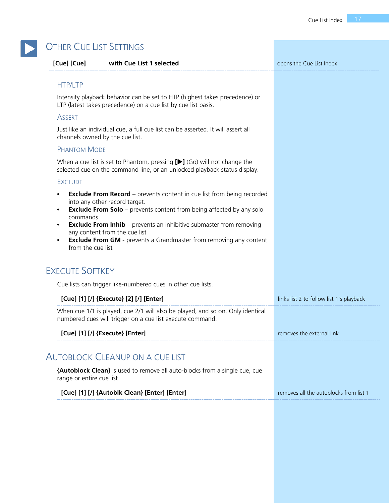| [Cue] [Cue]                   | with Cue List 1 selected                                                                                                                                                                                                                                                | opens the Cue List Index                 |
|-------------------------------|-------------------------------------------------------------------------------------------------------------------------------------------------------------------------------------------------------------------------------------------------------------------------|------------------------------------------|
| <b>HTP/LTP</b>                |                                                                                                                                                                                                                                                                         |                                          |
|                               | Intensity playback behavior can be set to HTP (highest takes precedence) or<br>LTP (latest takes precedence) on a cue list by cue list basis.                                                                                                                           |                                          |
| <b>ASSERT</b>                 |                                                                                                                                                                                                                                                                         |                                          |
|                               | Just like an individual cue, a full cue list can be asserted. It will assert all<br>channels owned by the cue list.                                                                                                                                                     |                                          |
| <b>PHANTOM MODE</b>           |                                                                                                                                                                                                                                                                         |                                          |
|                               | When a cue list is set to Phantom, pressing $[\blacktriangleright]$ (Go) will not change the<br>selected cue on the command line, or an unlocked playback status display.                                                                                               |                                          |
| <b>EXCLUDE</b>                |                                                                                                                                                                                                                                                                         |                                          |
| commands<br>from the cue list | <b>Exclude From Solo</b> - prevents content from being affected by any solo<br><b>Exclude From Inhib</b> – prevents an inhibitive submaster from removing<br>any content from the cue list<br><b>Exclude From GM</b> - prevents a Grandmaster from removing any content |                                          |
| <b>EXECUTE SOFTKEY</b>        |                                                                                                                                                                                                                                                                         |                                          |
|                               | Cue lists can trigger like-numbered cues in other cue lists.                                                                                                                                                                                                            |                                          |
|                               | [Cue] [1] [/] {Execute} [2] [/] [Enter]                                                                                                                                                                                                                                 | links list 2 to follow list 1's playback |
|                               | When cue 1/1 is played, cue 2/1 will also be played, and so on. Only identical<br>numbered cues will trigger on a cue list execute command.                                                                                                                             |                                          |
|                               | [Cue] [1] [/] {Execute} [Enter]                                                                                                                                                                                                                                         | removes the external link                |
|                               | <b>AUTOBLOCK CLEANUP ON A CUE LIST</b>                                                                                                                                                                                                                                  |                                          |
|                               | <b>{Autoblock Clean}</b> is used to remove all auto-blocks from a single cue, cue                                                                                                                                                                                       |                                          |
| range or entire cue list      |                                                                                                                                                                                                                                                                         |                                          |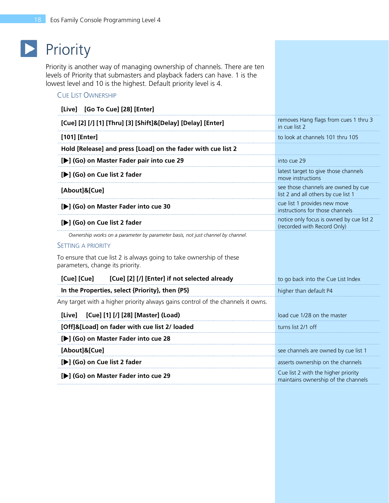# **Priority**

<span id="page-17-0"></span>Priority is another way of managing ownership of channels. There are ten levels of Priority that submasters and playback faders can have. 1 is the lowest level and 10 is the highest. Default priority level is 4.

### CUE LIST OWNERSHIP

| [Live] [Go To Cue] [28] [Enter]                                                                          |                                                                            |
|----------------------------------------------------------------------------------------------------------|----------------------------------------------------------------------------|
| [Cue] [2] [/] [1] [Thru] [3] [Shift]&[Delay] [Delay] [Enter]                                             | removes Hang flags from cues 1 thru 3<br>in cue list 2                     |
| [101] [Enter]                                                                                            | to look at channels 101 thru 105                                           |
| Hold [Release] and press [Load] on the fader with cue list 2                                             |                                                                            |
| [▶] (Go) on Master Fader pair into cue 29                                                                | into cue 29                                                                |
| [De] (Go) on Cue list 2 fader                                                                            | latest target to give those channels<br>move instructions                  |
| [About]&[Cue]                                                                                            | see those channels are owned by cue<br>list 2 and all others by cue list 1 |
| [▶] (Go) on Master Fader into cue 30                                                                     | cue list 1 provides new move<br>instructions for those channels            |
| [De] (Go) on Cue list 2 fader                                                                            | notice only focus is owned by cue list 2<br>(recorded with Record Only)    |
| Ownership works on a parameter by parameter basis, not just channel by channel.                          |                                                                            |
| <b>SETTING A PRIORITY</b>                                                                                |                                                                            |
| To ensure that cue list 2 is always going to take ownership of these<br>parameters, change its priority. |                                                                            |
| [Cue] [2] [/] [Enter] if not selected already<br>[Cue] [Cue]                                             | to go back into the Cue List Index                                         |
| In the Properties, select {Priority}, then {P5}                                                          | higher than default P4                                                     |
| Any target with a higher priority always gains control of the channels it owns.                          |                                                                            |
| [Cue] [1] [/] [28] [Master] (Load)<br>[Live]                                                             | load cue 1/28 on the master                                                |
| [Off]&[Load] on fader with cue list 2/ loaded                                                            | turns list 2/1 off                                                         |
| [De] (Go) on Master Fader into cue 28                                                                    |                                                                            |
| [About]&[Cue]                                                                                            | see channels are owned by cue list 1                                       |
| [De] (Go) on Cue list 2 fader                                                                            | asserts ownership on the channels                                          |
| [De] (Go) on Master Fader into cue 29                                                                    | Cue list 2 with the higher priority<br>maintains ownership of the channels |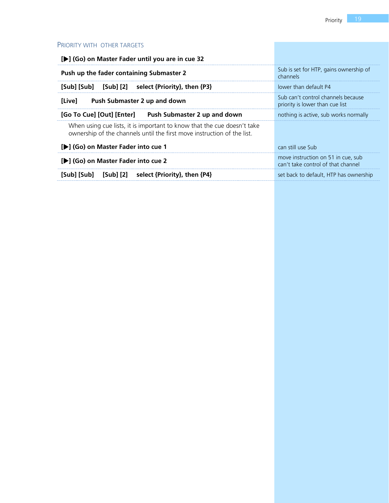### PRIORITY WITH OTHER TARGETS

| [▶] (Go) on Master Fader until you are in cue 32                                                                                                   |                                                                          |
|----------------------------------------------------------------------------------------------------------------------------------------------------|--------------------------------------------------------------------------|
| Push up the fader containing Submaster 2                                                                                                           | Sub is set for HTP, gains ownership of<br>channels                       |
| [Sub] [Sub] [Sub] [2]<br>select {Priority}, then {P3}                                                                                              | lower than default P4                                                    |
| [Live]<br>Push Submaster 2 up and down                                                                                                             | Sub can't control channels because<br>priority is lower than cue list    |
| [Go To Cue] [Out] [Enter] Push Submaster 2 up and down                                                                                             | nothing is active, sub works normally                                    |
| When using cue lists, it is important to know that the cue doesn't take<br>ownership of the channels until the first move instruction of the list. |                                                                          |
| [▶] (Go) on Master Fader into cue 1                                                                                                                | can still use Sub                                                        |
| [De] (Go) on Master Fader into cue 2                                                                                                               | move instruction on 51 in cue, sub<br>can't take control of that channel |
| [Sub] [Sub]<br>[Sub] [2]<br>select {Priority}, then {P4}                                                                                           | set back to default. HTP has ownership                                   |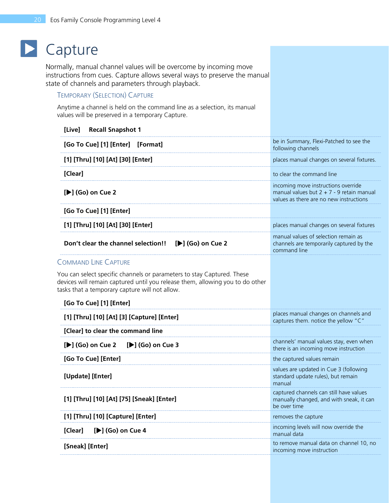# **D** Capture

<span id="page-19-0"></span>Normally, manual channel values will be overcome by incoming move instructions from cues. Capture allows several ways to preserve the manual state of channels and parameters through playback.

### TEMPORARY (SELECTION) CAPTURE

Anytime a channel is held on the command line as a selection, its manual values will be preserved in a temporary Capture.

| <b>Recall Snapshot 1</b><br>[Live]                                                                                                                                                                        |                                                                                                                               |
|-----------------------------------------------------------------------------------------------------------------------------------------------------------------------------------------------------------|-------------------------------------------------------------------------------------------------------------------------------|
| [Go To Cue] [1] [Enter] [Format]                                                                                                                                                                          | be in Summary, Flexi-Patched to see the<br>following channels                                                                 |
| [1] [Thru] [10] [At] [30] [Enter]                                                                                                                                                                         | places manual changes on several fixtures.                                                                                    |
| [Clear]                                                                                                                                                                                                   | to clear the command line                                                                                                     |
| [▶] (Go) on Cue 2                                                                                                                                                                                         | incoming move instructions override<br>manual values but $2 + 7 - 9$ retain manual<br>values as there are no new instructions |
| [Go To Cue] [1] [Enter]                                                                                                                                                                                   |                                                                                                                               |
| [1] [Thru] [10] [At] [30] [Enter]                                                                                                                                                                         | places manual changes on several fixtures                                                                                     |
| $[\blacktriangleright]$ (Go) on Cue 2<br>Don't clear the channel selection!!                                                                                                                              | manual values of selection remain as<br>channels are temporarily captured by the<br>command line                              |
| <b>COMMAND LINE CAPTURE</b>                                                                                                                                                                               |                                                                                                                               |
| You can select specific channels or parameters to stay Captured. These<br>devices will remain captured until you release them, allowing you to do other<br>tasks that a temporary capture will not allow. |                                                                                                                               |
| [Go To Cue] [1] [Enter]                                                                                                                                                                                   |                                                                                                                               |
| [1] [Thru] [10] [At] [3] [Capture] [Enter]                                                                                                                                                                | places manual changes on channels and<br>captures them. notice the yellow "C"                                                 |
| [Clear] to clear the command line                                                                                                                                                                         |                                                                                                                               |
| [ $\blacktriangleright$ ] (Go) on Cue 2<br>[ $\blacktriangleright$ ] (Go) on Cue 3                                                                                                                        | channels' manual values stay, even when<br>there is an incoming move instruction                                              |
| [Go To Cue] [Enter]                                                                                                                                                                                       | the captured values remain                                                                                                    |
| [Update] [Enter]                                                                                                                                                                                          | values are updated in Cue 3 (following<br>standard update rules), but remain<br>manual                                        |
| [1] [Thru] [10] [At] [75] [Sneak] [Enter]                                                                                                                                                                 | captured channels can still have values<br>manually changed, and with sneak, it can<br>be over time                           |
| [1] [Thru] [10] [Capture] [Enter]                                                                                                                                                                         | removes the capture                                                                                                           |
| [Clear]<br>[D] (Go) on Cue 4                                                                                                                                                                              | incoming levels will now override the<br>manual data                                                                          |
| [Sneak] [Enter]                                                                                                                                                                                           | to remove manual data on channel 10, no<br>incoming move instruction                                                          |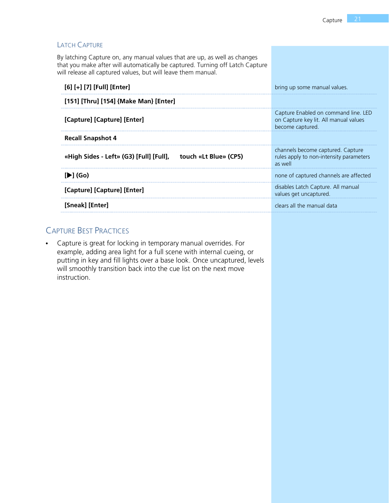| <b>LATCH CAPTURE</b>                                                                                                                                                                                                        |                                                                                                   |
|-----------------------------------------------------------------------------------------------------------------------------------------------------------------------------------------------------------------------------|---------------------------------------------------------------------------------------------------|
| By latching Capture on, any manual values that are up, as well as changes<br>that you make after will automatically be captured. Turning off Latch Capture<br>will release all captured values, but will leave them manual. |                                                                                                   |
| [6] [+] [7] [Full] [Enter]                                                                                                                                                                                                  | bring up some manual values.                                                                      |
| [151] [Thru] [154] {Make Man} [Enter]                                                                                                                                                                                       |                                                                                                   |
| [Capture] [Capture] [Enter]                                                                                                                                                                                                 | Capture Enabled on command line. LED<br>on Capture key lit. All manual values<br>become captured. |
| <b>Recall Snapshot 4</b>                                                                                                                                                                                                    |                                                                                                   |
| touch «Lt Blue» (CP5)<br>«High Sides - Left» (G3) [Full] [Full],                                                                                                                                                            | channels become captured. Capture<br>rules apply to non-intensity parameters<br>as well           |
| $[\blacktriangleright]$ (Go)                                                                                                                                                                                                | none of captured channels are affected                                                            |
| [Capture] [Capture] [Enter]                                                                                                                                                                                                 | disables Latch Capture. All manual<br>values get uncaptured.                                      |
| [Sneak] [Enter]                                                                                                                                                                                                             | clears all the manual data                                                                        |

# CAPTURE BEST PRACTICES

**•** Capture is great for locking in temporary manual overrides. For example, adding area light for a full scene with internal cueing, or putting in key and fill lights over a base look. Once uncaptured, levels will smoothly transition back into the cue list on the next move instruction.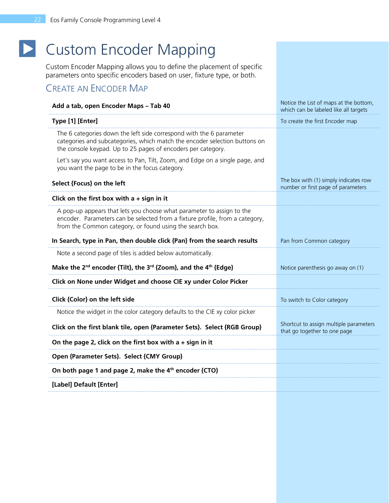# **D** Custom Encoder Mapping

<span id="page-21-0"></span>Custom Encoder Mapping allows you to define the placement of specific parameters onto specific encoders based on user, fixture type, or both.

# CREATE AN ENCODER MAP

| Add a tab, open Encoder Maps - Tab 40                                                                                                                                                                             | Notice the List of maps at the bottom,<br>which can be labeled like all targets |
|-------------------------------------------------------------------------------------------------------------------------------------------------------------------------------------------------------------------|---------------------------------------------------------------------------------|
| Type [1] [Enter]                                                                                                                                                                                                  | To create the first Encoder map                                                 |
| The 6 categories down the left side correspond with the 6 parameter<br>categories and subcategories, which match the encoder selection buttons on<br>the console keypad. Up to 25 pages of encoders per category. |                                                                                 |
| Let's say you want access to Pan, Tilt, Zoom, and Edge on a single page, and<br>you want the page to be in the focus category.                                                                                    |                                                                                 |
| Select {Focus} on the left                                                                                                                                                                                        | The box with (1) simply indicates row<br>number or first page of parameters     |
| Click on the first box with $a + sign$ in it                                                                                                                                                                      |                                                                                 |
| A pop-up appears that lets you choose what parameter to assign to the<br>encoder. Parameters can be selected from a fixture profile, from a category,<br>from the Common category, or found using the search box. |                                                                                 |
| In Search, type in Pan, then double click {Pan} from the search results                                                                                                                                           | Pan from Common category                                                        |
| Note a second page of tiles is added below automatically.                                                                                                                                                         |                                                                                 |
| Make the 2 <sup>nd</sup> encoder {Tilt}, the 3 <sup>rd</sup> {Zoom}, and the 4 <sup>th</sup> {Edge}                                                                                                               | Notice parenthesis go away on (1)                                               |
| Click on None under Widget and choose CIE xy under Color Picker                                                                                                                                                   |                                                                                 |
| Click {Color} on the left side                                                                                                                                                                                    | To switch to Color category                                                     |
| Notice the widget in the color category defaults to the CIE xy color picker                                                                                                                                       |                                                                                 |
| Click on the first blank tile, open {Parameter Sets}. Select {RGB Group}                                                                                                                                          | Shortcut to assign multiple parameters<br>that go together to one page          |
| On the page 2, click on the first box with $a + sign$ in it                                                                                                                                                       |                                                                                 |
| Open {Parameter Sets}. Select {CMY Group}                                                                                                                                                                         |                                                                                 |
| On both page 1 and page 2, make the 4 <sup>th</sup> encoder {CTO}                                                                                                                                                 |                                                                                 |
| [Label] Default [Enter]                                                                                                                                                                                           |                                                                                 |
|                                                                                                                                                                                                                   |                                                                                 |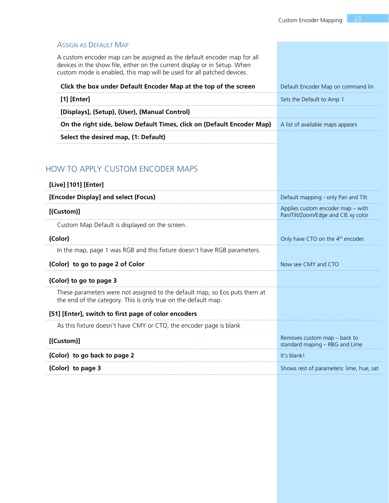| <b>ASSIGN AS DEFAULT MAP</b>                                                                                                                                                                                                   |                                                                          |
|--------------------------------------------------------------------------------------------------------------------------------------------------------------------------------------------------------------------------------|--------------------------------------------------------------------------|
| A custom encoder map can be assigned as the default encoder map for all<br>devices in the show file, either on the current display or in Setup. When<br>custom mode is enabled, this map will be used for all patched devices. |                                                                          |
| Click the box under Default Encoder Map at the top of the screen                                                                                                                                                               | Default Encoder Map on command lin                                       |
| $[1]$ [Enter]                                                                                                                                                                                                                  | Sets the Default to Amp 1                                                |
| [Displays], {Setup}, {User}, {Manual Control}                                                                                                                                                                                  |                                                                          |
| On the right side, below Default Times, click on {Default Encoder Map}                                                                                                                                                         | A list of available maps appears                                         |
| Select the desired map, {1: Default}                                                                                                                                                                                           |                                                                          |
|                                                                                                                                                                                                                                |                                                                          |
| <b>HOW TO APPLY CUSTOM ENCODER MAPS</b>                                                                                                                                                                                        |                                                                          |
| [Live] [101] [Enter]                                                                                                                                                                                                           |                                                                          |
| [Encoder Display] and select {Focus}                                                                                                                                                                                           | Default mapping - only Pan and Tilt                                      |
| [{Custom}]                                                                                                                                                                                                                     | Applies custom encoder map - with<br>Pan/Tilt/Zoom/Edge and CIE xy color |
| Custom Map Default is displayed on the screen.                                                                                                                                                                                 |                                                                          |
| {Color}                                                                                                                                                                                                                        | Only have CTO on the 4 <sup>th</sup> encoder.                            |
| In the map, page 1 was RGB and this fixture doesn't have RGB parameters.                                                                                                                                                       |                                                                          |
| {Color} to go to page 2 of Color                                                                                                                                                                                               | Now see CMY and CTO                                                      |
| {Color} to go to page 3                                                                                                                                                                                                        |                                                                          |
| These parameters were not assigned to the default map, so Eos puts them at<br>the end of the category. This is only true on the default map.                                                                                   |                                                                          |
| [51] [Enter], switch to first page of color encoders                                                                                                                                                                           |                                                                          |
| As this fixture doesn't have CMY or CTO, the encoder page is blank                                                                                                                                                             |                                                                          |
| [{Custom}]                                                                                                                                                                                                                     | Removes custom map - back to<br>standard maping - RBG and Lime           |
| {Color} to go back to page 2                                                                                                                                                                                                   | It's blank!                                                              |
| {Color} to page 3                                                                                                                                                                                                              | Shows rest of parameters: lime, hue, sat                                 |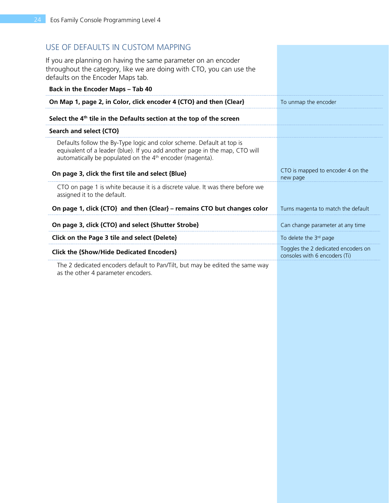### USE OF DEFAULTS IN CUSTOM MAPPING

If you are planning on having the same parameter on an encoder throughout the category, like we are doing with CTO, you can use the defaults on the Encoder Maps tab.

| <b>Back in the Encoder Maps - Tab 40</b>                                                                                                                                                                           |                                                                      |
|--------------------------------------------------------------------------------------------------------------------------------------------------------------------------------------------------------------------|----------------------------------------------------------------------|
| On Map 1, page 2, in Color, click encoder 4 {CTO} and then {Clear}                                                                                                                                                 | To unmap the encoder                                                 |
| Select the $4th$ tile in the Defaults section at the top of the screen                                                                                                                                             |                                                                      |
| Search and select {CTO}                                                                                                                                                                                            |                                                                      |
| Defaults follow the By-Type logic and color scheme. Default at top is<br>equivalent of a leader (blue). If you add another page in the map, CTO will<br>automatically be populated on the $4th$ encoder (magenta). |                                                                      |
| On page 3, click the first tile and select {Blue}                                                                                                                                                                  | CTO is mapped to encoder 4 on the<br>new page                        |
| CTO on page 1 is white because it is a discrete value. It was there before we<br>assigned it to the default.                                                                                                       |                                                                      |
| On page 1, click {CTO} and then {Clear} – remains CTO but changes color                                                                                                                                            | Turns magenta to match the default                                   |
| On page 3, click {CTO} and select {Shutter Strobe}                                                                                                                                                                 | Can change parameter at any time                                     |
| Click on the Page 3 tile and select {Delete}                                                                                                                                                                       | To delete the $3rd$ page                                             |
| <b>Click the {Show/Hide Dedicated Encoders}</b>                                                                                                                                                                    | Toggles the 2 dedicated encoders on<br>consoles with 6 encoders (Ti) |
| The 2 dedicated encoders default to Dan $\pi$ ilt but may be edited the same way                                                                                                                                   |                                                                      |

The 2 dedicated encoders default to Pan/Tilt, but may be edited the same way as the other 4 parameter encoders.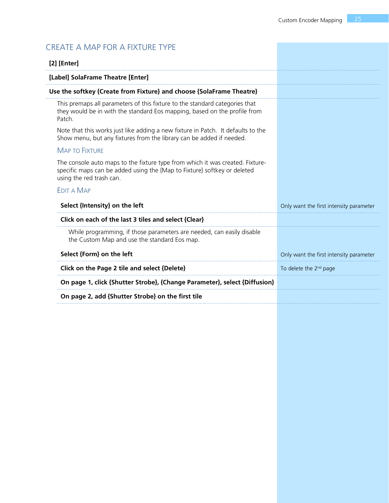# CREATE A MAP FOR A FIXTURE TYPE

| $[2]$ [Enter]                                                                                                                                                                         |                                         |
|---------------------------------------------------------------------------------------------------------------------------------------------------------------------------------------|-----------------------------------------|
| [Label] SolaFrame Theatre [Enter]                                                                                                                                                     |                                         |
| Use the softkey {Create from Fixture} and choose {SolaFrame Theatre}                                                                                                                  |                                         |
| This premaps all parameters of this fixture to the standard categories that<br>they would be in with the standard Eos mapping, based on the profile from<br>Patch.                    |                                         |
| Note that this works just like adding a new fixture in Patch. It defaults to the<br>Show menu, but any fixtures from the library can be added if needed.                              |                                         |
| <b>MAP TO FIXTURE</b>                                                                                                                                                                 |                                         |
| The console auto maps to the fixture type from which it was created. Fixture-<br>specific maps can be added using the {Map to Fixture} softkey or deleted<br>using the red trash can. |                                         |
| <b>EDIT A MAP</b>                                                                                                                                                                     |                                         |
| Select {Intensity} on the left                                                                                                                                                        | Only want the first intensity parameter |
| Click on each of the last 3 tiles and select {Clear}                                                                                                                                  |                                         |
| While programming, if those parameters are needed, can easily disable<br>the Custom Map and use the standard Eos map.                                                                 |                                         |
| Select {Form} on the left                                                                                                                                                             | Only want the first intensity parameter |
| Click on the Page 2 tile and select {Delete}                                                                                                                                          | To delete the 2 <sup>nd</sup> page      |
| On page 1, click {Shutter Strobe}, {Change Parameter}, select {Diffusion}                                                                                                             |                                         |
| On page 2, add {Shutter Strobe} on the first tile                                                                                                                                     |                                         |
|                                                                                                                                                                                       |                                         |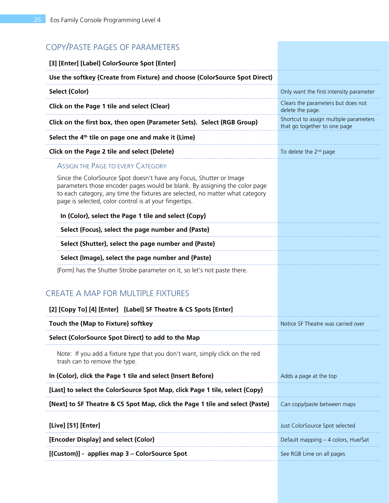| COPY/PASTE PAGES OF PARAMETERS                                                                                                                                                                                                                                                               |                                                                        |
|----------------------------------------------------------------------------------------------------------------------------------------------------------------------------------------------------------------------------------------------------------------------------------------------|------------------------------------------------------------------------|
| [3] [Enter] [Label] ColorSource Spot [Enter]                                                                                                                                                                                                                                                 |                                                                        |
| Use the softkey {Create from Fixture} and choose {ColorSource Spot Direct}                                                                                                                                                                                                                   |                                                                        |
| <b>Select {Color}</b>                                                                                                                                                                                                                                                                        | Only want the first intensity parameter                                |
| Click on the Page 1 tile and select {Clear}                                                                                                                                                                                                                                                  | Clears the parameters but does not<br>delete the page.                 |
| Click on the first box, then open {Parameter Sets}. Select {RGB Group}                                                                                                                                                                                                                       | Shortcut to assign multiple parameters<br>that go together to one page |
| Select the 4 <sup>th</sup> tile on page one and make it {Lime}                                                                                                                                                                                                                               |                                                                        |
| Click on the Page 2 tile and select {Delete}                                                                                                                                                                                                                                                 | To delete the 2 <sup>nd</sup> page                                     |
| <b>ASSIGN THE PAGE TO EVERY CATEGORY</b>                                                                                                                                                                                                                                                     |                                                                        |
| Since the ColorSource Spot doesn't have any Focus, Shutter or Image<br>parameters those encoder pages would be blank. By assigning the color page<br>to each category, any time the fixtures are selected, no matter what category<br>page is selected, color control is at your fingertips. |                                                                        |
| In {Color}, select the Page 1 tile and select {Copy}                                                                                                                                                                                                                                         |                                                                        |
| Select {Focus}, select the page number and {Paste}                                                                                                                                                                                                                                           |                                                                        |
| Select {Shutter}, select the page number and {Paste}                                                                                                                                                                                                                                         |                                                                        |
| Select {Image}, select the page number and {Paste}                                                                                                                                                                                                                                           |                                                                        |
| {Form} has the Shutter Strobe parameter on it, so let's not paste there.                                                                                                                                                                                                                     |                                                                        |
| <b>CREATE A MAP FOR MULTIPLE FIXTURES</b>                                                                                                                                                                                                                                                    |                                                                        |
| [2] [Copy To] [4] [Enter] [Label] SF Theatre & CS Spots [Enter]                                                                                                                                                                                                                              |                                                                        |
| Touch the {Map to Fixture} softkey                                                                                                                                                                                                                                                           | Notice SF Theatre was carried over                                     |
| Select {ColorSource Spot Direct} to add to the Map                                                                                                                                                                                                                                           |                                                                        |
| Note: If you add a fixture type that you don't want, simply click on the red<br>trash can to remove the type.                                                                                                                                                                                |                                                                        |
| In {Color}, click the Page 1 tile and select {Insert Before}                                                                                                                                                                                                                                 | Adds a page at the top                                                 |
| [Last] to select the ColorSource Spot Map, click Page 1 tile, select {Copy}                                                                                                                                                                                                                  |                                                                        |
| [Next] to SF Theatre & CS Spot Map, click the Page 1 tile and select {Paste}                                                                                                                                                                                                                 | Can copy/paste between maps                                            |
| [Live] [51] [Enter]                                                                                                                                                                                                                                                                          | Just ColorSource Spot selected                                         |
| [Encoder Display] and select {Color}                                                                                                                                                                                                                                                         | Default mapping - 4 colors, Hue/Sat                                    |
| [{Custom}] - applies map 3 - ColorSource Spot                                                                                                                                                                                                                                                | See RGB Lime on all pages                                              |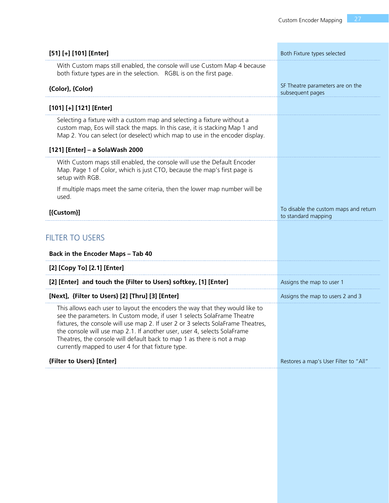| [51] [+] [101] [Enter]                                                                                                                                                                                                                                                                                                                                                                                                                                 | Both Fixture types selected                                  |
|--------------------------------------------------------------------------------------------------------------------------------------------------------------------------------------------------------------------------------------------------------------------------------------------------------------------------------------------------------------------------------------------------------------------------------------------------------|--------------------------------------------------------------|
| With Custom maps still enabled, the console will use Custom Map 4 because<br>both fixture types are in the selection. RGBL is on the first page.                                                                                                                                                                                                                                                                                                       |                                                              |
| {Color}, {Color}                                                                                                                                                                                                                                                                                                                                                                                                                                       | SF Theatre parameters are on the<br>subsequent pages         |
| [101] [+] [121] [Enter]                                                                                                                                                                                                                                                                                                                                                                                                                                |                                                              |
| Selecting a fixture with a custom map and selecting a fixture without a<br>custom map, Eos will stack the maps. In this case, it is stacking Map 1 and<br>Map 2. You can select (or deselect) which map to use in the encoder display.                                                                                                                                                                                                                 |                                                              |
| [121] [Enter] - a SolaWash 2000                                                                                                                                                                                                                                                                                                                                                                                                                        |                                                              |
| With Custom maps still enabled, the console will use the Default Encoder<br>Map. Page 1 of Color, which is just CTO, because the map's first page is<br>setup with RGB.                                                                                                                                                                                                                                                                                |                                                              |
| If multiple maps meet the same criteria, then the lower map number will be<br>used.                                                                                                                                                                                                                                                                                                                                                                    |                                                              |
| [{Custom}]                                                                                                                                                                                                                                                                                                                                                                                                                                             | To disable the custom maps and return<br>to standard mapping |
| <b>FILTER TO USERS</b><br><b>Back in the Encoder Maps - Tab 40</b>                                                                                                                                                                                                                                                                                                                                                                                     |                                                              |
| [2] [Copy To] [2.1] [Enter]                                                                                                                                                                                                                                                                                                                                                                                                                            |                                                              |
| [2] [Enter] and touch the {Filter to Users} softkey, [1] [Enter]                                                                                                                                                                                                                                                                                                                                                                                       | Assigns the map to user 1                                    |
| [Next], {Filter to Users} [2] [Thru] [3] [Enter]                                                                                                                                                                                                                                                                                                                                                                                                       | Assigns the map to users 2 and 3                             |
| This allows each user to layout the encoders the way that they would like to<br>see the parameters. In Custom mode, if user 1 selects SolaFrame Theatre<br>fixtures, the console will use map 2. If user 2 or 3 selects SolaFrame Theatres,<br>the console will use map 2.1. If another user, user 4, selects SolaFrame<br>Theatres, the console will default back to map 1 as there is not a map<br>currently mapped to user 4 for that fixture type. |                                                              |
| {Filter to Users} [Enter]                                                                                                                                                                                                                                                                                                                                                                                                                              | Restores a map's User Filter to "All"                        |
|                                                                                                                                                                                                                                                                                                                                                                                                                                                        |                                                              |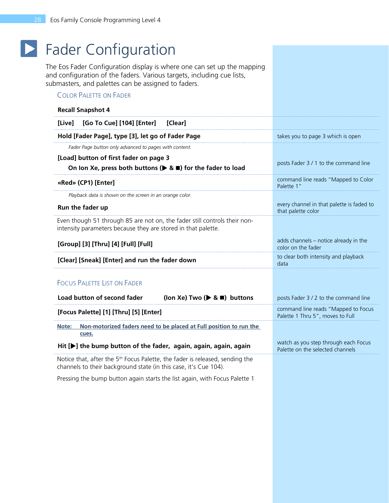# **Fader Configuration**

<span id="page-27-0"></span>The Eos Fader Configuration display is where one can set up the mapping and configuration of the faders. Various targets, including cue lists, submasters, and palettes can be assigned to faders.

### COLOR PALETTE ON FADER

| <b>Recall Snapshot 4</b>                                                                                                                                     |                                                                          |
|--------------------------------------------------------------------------------------------------------------------------------------------------------------|--------------------------------------------------------------------------|
| [Go To Cue] [104] [Enter]<br>[Live]<br>[Clear]                                                                                                               |                                                                          |
| Hold [Fader Page], type [3], let go of Fader Page                                                                                                            | takes you to page 3 which is open                                        |
| Fader Page button only advanced to pages with content.                                                                                                       |                                                                          |
| [Load] button of first fader on page 3                                                                                                                       | posts Fader 3 / 1 to the command line                                    |
| On Ion Xe, press both buttons ( $\triangleright$ & $\blacksquare$ ) for the fader to load                                                                    |                                                                          |
| «Red» (CP1) [Enter]                                                                                                                                          | command line reads "Mapped to Color<br>Palette 1"                        |
| Playback data is shown on the screen in an orange color.                                                                                                     |                                                                          |
| Run the fader up                                                                                                                                             | every channel in that palette is faded to<br>that palette color          |
| Even though 51 through 85 are not on, the fader still controls their non-<br>intensity parameters because they are stored in that palette.                   |                                                                          |
| [Group] [3] [Thru] [4] [Full] [Full]                                                                                                                         | adds channels - notice already in the<br>color on the fader              |
| [Clear] [Sneak] [Enter] and run the fader down                                                                                                               | to clear both intensity and playback<br>data                             |
| <b>FOCUS PALETTE LIST ON FADER</b>                                                                                                                           |                                                                          |
| Load button of second fader<br>(Ion Xe) Two ( $\triangleright$ & $\blacksquare$ ) buttons                                                                    | posts Fader 3 / 2 to the command line                                    |
| [Focus Palette] [1] [Thru] [5] [Enter]                                                                                                                       | command line reads "Mapped to Focus<br>Palette 1 Thru 5", moves to Full  |
| Non-motorized faders need to be placed at Full position to run the<br>Note:<br>cues.                                                                         |                                                                          |
| Hit [D] the bump button of the fader, again, again, again, again                                                                                             | watch as you step through each Focus<br>Palette on the selected channels |
| Notice that, after the 5 <sup>th</sup> Focus Palette, the fader is released, sending the<br>channels to their background state (in this case, it's Cue 104). |                                                                          |

Pressing the bump button again starts the list again, with Focus Palette 1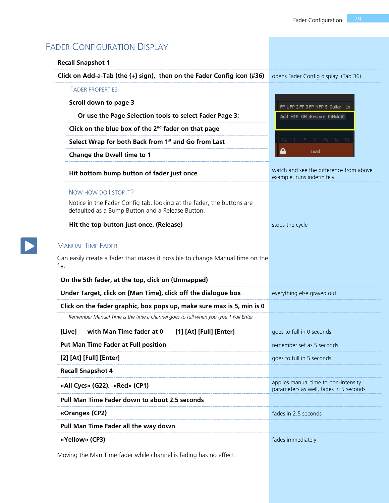| <b>Recall Snapshot 1</b>                                                                                                  |                                                                                |
|---------------------------------------------------------------------------------------------------------------------------|--------------------------------------------------------------------------------|
| Click on Add-a-Tab (the {+} sign), then on the Fader Config icon (#36)                                                    | opens Fader Config display (Tab 36)                                            |
| <b>FADER PROPERTIES</b>                                                                                                   |                                                                                |
| Scroll down to page 3                                                                                                     | FP 1 FP 2 FP 3 FP 4 FP 5 Guitar 1x                                             |
| Or use the Page Selection tools to select Fader Page 3;                                                                   | Add HTP GFL:Restore 0/Hold/0                                                   |
| Click on the blue box of the $2nd$ fader on that page                                                                     |                                                                                |
| Select Wrap for both Back from 1 <sup>st</sup> and Go from Last                                                           |                                                                                |
| <b>Change the Dwell time to 1</b>                                                                                         | Load                                                                           |
| Hit bottom bump button of fader just once                                                                                 | watch and see the difference from above<br>example, runs indefinitely          |
| NOW HOW DO I STOP IT?                                                                                                     |                                                                                |
| Notice in the Fader Config tab, looking at the fader, the buttons are<br>defaulted as a Bump Button and a Release Button. |                                                                                |
| Hit the top button just once, (Release)                                                                                   | stops the cycle                                                                |
| fly.<br>On the 5th fader, at the top, click on {Unmapped}                                                                 |                                                                                |
| Under Target, click on {Man Time}, click off the dialogue box                                                             | everything else grayed out                                                     |
| Click on the fader graphic, box pops up, make sure max is 5, min is 0                                                     |                                                                                |
| Remember Manual Time is the time a channel goes to full when you type 1 Full Enter                                        |                                                                                |
| with Man Time fader at 0<br>[1] [At] [Full] [Enter]<br>[Live]                                                             | goes to full in 0 seconds                                                      |
| <b>Put Man Time Fader at Full position</b>                                                                                | remember set as 5 seconds                                                      |
|                                                                                                                           |                                                                                |
| [2] [At] [Full] [Enter]                                                                                                   | goes to full in 5 seconds                                                      |
| <b>Recall Snapshot 4</b>                                                                                                  |                                                                                |
| «All Cycs» (G22), «Red» (CP1)                                                                                             | applies manual time to non-intensity<br>parameters as well, fades in 5 seconds |
| <b>Pull Man Time Fader down to about 2.5 seconds</b>                                                                      |                                                                                |
| «Orange» (CP2)                                                                                                            | fades in 2.5 seconds                                                           |
| Pull Man Time Fader all the way down                                                                                      |                                                                                |

Moving the Man Time fader while channel is fading has no effect.

 $\boxed{\blacktriangleright}$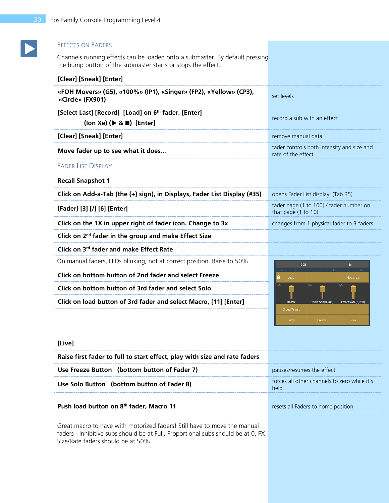### EFFECTS ON FADERS

Channels running effects can be loaded onto a submaster. By default pressing the bump button of the submaster starts or stops the effect.

| set levels                                                       |  |
|------------------------------------------------------------------|--|
| record a sub with an effect                                      |  |
| remove manual data                                               |  |
| fader controls both intensity and size and<br>rate of the effect |  |
|                                                                  |  |
|                                                                  |  |
| opens Fader List display (Tab 35)                                |  |
| fader page (1 to 100) / fader number on<br>that page (1 to 10)   |  |
| changes from 1 physical fader to 3 faders                        |  |
|                                                                  |  |
|                                                                  |  |
| S <sub>26</sub><br>3x                                            |  |
| In 1<br>Load<br>Macro 11                                         |  |
| 3/6<br>3/6<br>3/6                                                |  |
| Effect Size(0,200)<br>Master<br>Effect Rate(0,200)               |  |
| Group/Assert<br>Solo<br>Bump<br>Freeze                           |  |
|                                                                  |  |

#### **[Live]**

| Raise first fader to full to start effect, play with size and rate faders |                                                      |
|---------------------------------------------------------------------------|------------------------------------------------------|
| Use Freeze Button (bottom button of Fader 7)                              | pauses/resumes the effect                            |
| Use Solo Button (bottom button of Fader 8)                                | forces all other channels to zero while it's<br>held |
| Push load button on 8 <sup>th</sup> fader, Macro 11                       | resets all Faders to home position                   |
| Great macro to have with motorized faders! Still have to move the manual  |                                                      |

faders - Inhibitive subs should be at Full, Proportional subs should be at 0, FX Size/Rate faders should be at 50%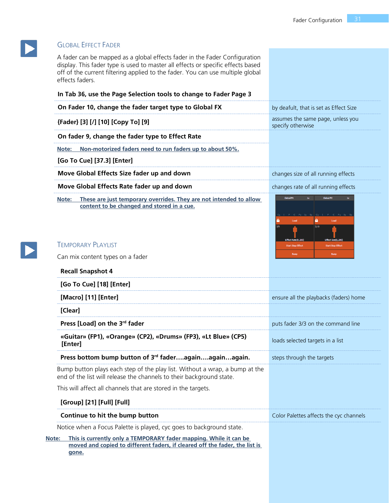

 $\blacktriangleright$ 

### GLOBAL EFFECT FADER

A fader can be mapped as a global effects fader in the Fader Configuration display. This fader type is used to master all effects or specific effects based off of the current filtering applied to the fader. You can use multiple global effects faders.

| In Tab 36, use the Page Selection tools to change to Fader Page 3                                                                                   |                                                        |
|-----------------------------------------------------------------------------------------------------------------------------------------------------|--------------------------------------------------------|
| On Fader 10, change the fader target type to Global FX                                                                                              | by deafult, that is set as Effect Size                 |
| {Fader} [3] [/] [10] [Copy To] [9]                                                                                                                  | assumes the same page, unless you<br>specify otherwise |
| On fader 9, change the fader type to Effect Rate                                                                                                    |                                                        |
| Non-motorized faders need to run faders up to about 50%.<br>Note:                                                                                   |                                                        |
| [Go To Cue] [37.3] [Enter]                                                                                                                          |                                                        |
| Move Global Effects Size fader up and down                                                                                                          | changes size of all running effects                    |
| Move Global Effects Rate fader up and down                                                                                                          | changes rate of all running effects                    |
| These are just temporary overrides. They are not intended to allow<br>Note:<br>content to be changed and stored in a cue.                           | Global FX<br>$1\times$<br><b>Global FX</b><br>3/10     |
| <b>TEMPORARY PLAYLIST</b>                                                                                                                           | <b>Start Stop Effect</b><br><b>Start Stop Effect</b>   |
| Can mix content types on a fader                                                                                                                    | Bump<br><b>Bump</b>                                    |
| <b>Recall Snapshot 4</b>                                                                                                                            |                                                        |
| [Go To Cue] [18] [Enter]                                                                                                                            |                                                        |
| [Macro] [11] [Enter]                                                                                                                                | ensure all the playbacks (faders) home                 |
| [Clear]                                                                                                                                             |                                                        |
| Press [Load] on the 3rd fader                                                                                                                       | puts fader 3/3 on the command line                     |
| «Guitar» (FP1), «Orange» (CP2), «Drums» (FP3), «Lt Blue» (CP5)<br>[Enter]                                                                           | loads selected targets in a list                       |
| Press bottom bump button of 3rd faderagainagainagain.                                                                                               | steps through the targets                              |
| Bump button plays each step of the play list. Without a wrap, a bump at the<br>end of the list will release the channels to their background state. |                                                        |
| This will affect all channels that are stored in the targets.                                                                                       |                                                        |
| [Group] [21] [Full] [Full]                                                                                                                          |                                                        |
| Continue to hit the bump button                                                                                                                     | Color Palettes affects the cyc channels                |
| Notice when a Focus Palette is played, cyc goes to background state.                                                                                |                                                        |
| This is currently only a TEMPORARY fader mapping. While it can be<br>Note:                                                                          |                                                        |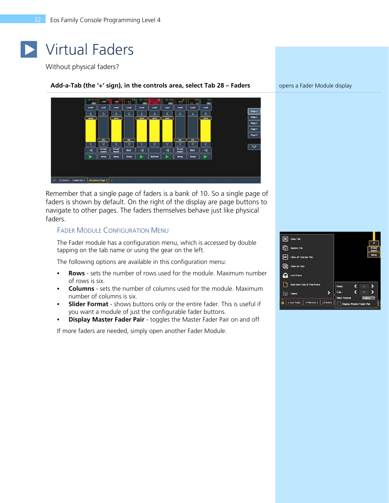# <span id="page-31-0"></span>Virtual Faders

Without physical faders?

#### Add-a-Tab (the '+' sign), in the controls area, select Tab 28 – Faders opens a Fader Module display



Remember that a single page of faders is a bank of 10. So a single page of faders is shown by default. On the right of the display are page buttons to navigate to other pages. The faders themselves behave just like physical faders.

#### FADER MODULE CONFIGURATION MENU

The Fader module has a configuration menu, which is accessed by double tapping on the tab name or using the gear on the left.

The following options are available in this configuration menu:

- **• Rows**  sets the number of rows used for the module. Maximum number of rows is six.
- **• Columns**  sets the number of columns used for the module. Maximum number of columns is six.
- **• Slider Format** shows buttons only or the entire fader. This is useful if you want a module of just the configurable fader buttons.
- **• Display Master Fader Pair** toggles the Master Fader Pair on and off

If more faders are needed, simply open another Fader Module.

 $\boxed{\mathsf{X}}$  Close Tab Replace Tab **HX** Close All Tabs But The Close All Tabs Lock Frame Open New Tabs In This Frame  $\overline{\phantom{1}}$ Cols  $\frac{\partial \phi}{\partial \phi}$  Faders 1 Live Table  $\left|\right.$  2 PSD List 1  $\left|\right.$  12 Patch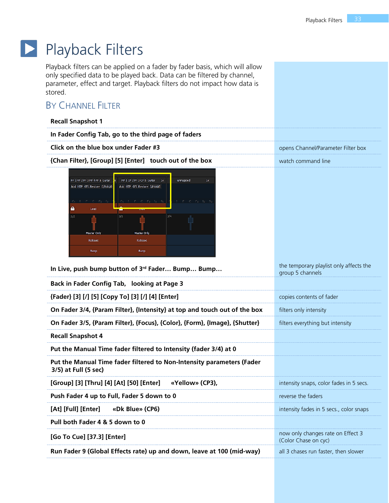### $\blacktriangleright$ Playback Filters

<span id="page-32-0"></span>Playback filters can be applied on a fader by fader basis, which will allow only specified data to be played back. Data can be filtered by channel, parameter, effect and target. Playback filters do not impact how data is stored.

# BY CHANNEL FILTER

| <b>BY CHANNEL FILTER</b>                                                                                                                                                                                                                                                                                                                                                                                         |                                                             |
|------------------------------------------------------------------------------------------------------------------------------------------------------------------------------------------------------------------------------------------------------------------------------------------------------------------------------------------------------------------------------------------------------------------|-------------------------------------------------------------|
| <b>Recall Snapshot 1</b>                                                                                                                                                                                                                                                                                                                                                                                         |                                                             |
| In Fader Config Tab, go to the third page of faders                                                                                                                                                                                                                                                                                                                                                              |                                                             |
| Click on the blue box under Fader #3                                                                                                                                                                                                                                                                                                                                                                             | opens Channel/Parameter Filter box                          |
| {Chan Filter}, [Group] [5] [Enter] touch out of the box                                                                                                                                                                                                                                                                                                                                                          | watch command line                                          |
| FP 1 FP 2 FP 3 FP 4 FP 5 Guitar<br>FP 1 CP 2 FP 3 CP 5 Guitar<br>1 <sup>x</sup><br>unmapped<br>1x<br>Add HTP GFL:Restore 0/Hold/0<br>Add HTP GFL:Restore 0/Hold/0<br>$I$ $F$ $C$ $F_B$ $I_B$<br>$C_h$ I F C $F_B$ I <sub>B</sub> S <sub>B</sub><br>$F$ C $F_B$ $I_B$ $S_B$<br>C <sub>h</sub><br>Δ<br>Load<br>3/3<br>3/2<br>3/4<br>Master Only<br>Master Only<br>Release<br>Release<br><b>Bump</b><br><b>Bump</b> |                                                             |
| In Live, push bump button of 3rd Fader Bump Bump                                                                                                                                                                                                                                                                                                                                                                 | the temporary playlist only affects the<br>group 5 channels |
| Back in Fader Config Tab, looking at Page 3                                                                                                                                                                                                                                                                                                                                                                      |                                                             |
| {Fader} [3] [/] [5] [Copy To] [3] [/] [4] [Enter]                                                                                                                                                                                                                                                                                                                                                                | copies contents of fader                                    |
| On Fader 3/4, {Param Filter}, {Intensity} at top and touch out of the box                                                                                                                                                                                                                                                                                                                                        | filters only intensity                                      |
| On Fader 3/5, {Param Filter}, {Focus}, {Color}, {Form}, {Image}, {Shutter}                                                                                                                                                                                                                                                                                                                                       | filters everything but intensity                            |
| <b>Recall Snapshot 4</b>                                                                                                                                                                                                                                                                                                                                                                                         |                                                             |
| Put the Manual Time fader filtered to Intensity (fader 3/4) at 0                                                                                                                                                                                                                                                                                                                                                 |                                                             |
| Put the Manual Time fader filtered to Non-Intensity parameters (Fader<br>3/5) at Full (5 sec)                                                                                                                                                                                                                                                                                                                    |                                                             |
| [Group] [3] [Thru] [4] [At] [50] [Enter]<br>«Yellow» (CP3),                                                                                                                                                                                                                                                                                                                                                      | intensity snaps, color fades in 5 secs.                     |
| Push Fader 4 up to Full, Fader 5 down to 0                                                                                                                                                                                                                                                                                                                                                                       | reverse the faders                                          |
| [At] [Full] [Enter]<br>«Dk Blue» (CP6)                                                                                                                                                                                                                                                                                                                                                                           | intensity fades in 5 secs., color snaps                     |
| Pull both Fader 4 & 5 down to 0                                                                                                                                                                                                                                                                                                                                                                                  |                                                             |
| [Go To Cue] [37.3] [Enter]                                                                                                                                                                                                                                                                                                                                                                                       | now only changes rate on Effect 3<br>(Color Chase on cyc)   |
| Run Fader 9 (Global Effects rate) up and down, leave at 100 (mid-way)                                                                                                                                                                                                                                                                                                                                            | all 3 chases run faster, then slower                        |
|                                                                                                                                                                                                                                                                                                                                                                                                                  |                                                             |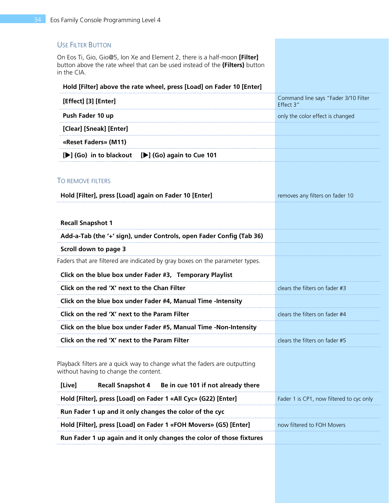#### USE FILTER BUTTON

On Eos Ti, Gio, Gio@5, Ion Xe and Element 2, there is a half-moon **[Filter]** button above the rate wheel that can be used instead of the **{Filters}** button in the CIA.

#### **Hold [Filter] above the rate wheel, press [Load] on Fader 10 [Enter]**

| [Effect] [3] [Enter]                                                                                               | Command line says "Fader 3/10 Filter<br>Effect 3" |
|--------------------------------------------------------------------------------------------------------------------|---------------------------------------------------|
| Push Fader 10 up                                                                                                   | only the color effect is changed                  |
| [Clear] [Sneak] [Enter]                                                                                            |                                                   |
| «Reset Faders» (M11)                                                                                               |                                                   |
| [De] (Go) in to blackout<br>[D] (Go) again to Cue 101                                                              |                                                   |
| TO REMOVE FILTERS                                                                                                  |                                                   |
| Hold [Filter], press [Load] again on Fader 10 [Enter]                                                              | removes any filters on fader 10                   |
| <b>Recall Snapshot 1</b>                                                                                           |                                                   |
| Add-a-Tab (the '+' sign), under Controls, open Fader Config (Tab 36)                                               |                                                   |
| Scroll down to page 3                                                                                              |                                                   |
| Faders that are filtered are indicated by gray boxes on the parameter types.                                       |                                                   |
| Click on the blue box under Fader #3, Temporary Playlist                                                           |                                                   |
| Click on the red 'X' next to the Chan Filter                                                                       | clears the filters on fader #3                    |
| Click on the blue box under Fader #4, Manual Time -Intensity                                                       |                                                   |
| Click on the red 'X' next to the Param Filter                                                                      | clears the filters on fader #4                    |
| Click on the blue box under Fader #5, Manual Time -Non-Intensity                                                   |                                                   |
| Click on the red 'X' next to the Param Filter                                                                      | clears the filters on fader #5                    |
| Playback filters are a quick way to change what the faders are outputting<br>without having to change the content. |                                                   |
| <b>Recall Snapshot 4</b><br>[Live]<br>Be in cue 101 if not already there                                           |                                                   |
| Hold [Filter], press [Load] on Fader 1 «All Cyc» (G22) [Enter]                                                     | Fader 1 is CP1, now filtered to cyc only          |
| Run Fader 1 up and it only changes the color of the cyc                                                            |                                                   |
| Hold [Filter], press [Load] on Fader 1 «FOH Movers» (G5) [Enter]                                                   | now filtered to FOH Movers                        |
| Run Fader 1 up again and it only changes the color of those fixtures                                               |                                                   |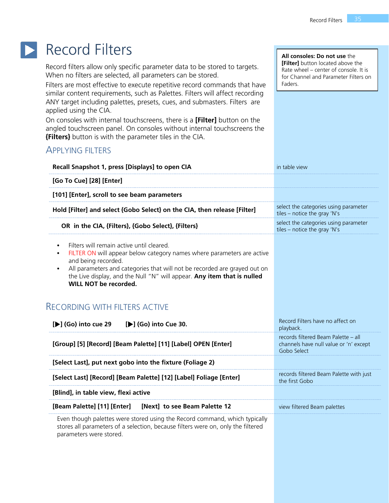### <span id="page-34-0"></span>Record Filters  $\blacktriangleright$

Record filters allow only specific parameter data to be stored to targets. When no filters are selected, all parameters can be stored.

Filters are most effective to execute repetitive record commands that have similar content requirements, such as Palettes. Filters will affect recording ANY target including palettes, presets, cues, and submasters. Filters are applied using the CIA.

On consoles with internal touchscreens, there is a **[Filter]** button on the angled touchscreen panel. On consoles without internal touchscreens the **{Filters}** button is with the parameter tiles in the CIA.

### APPLYING FILTERS

| Recall Snapshot 1, press [Displays] to open CIA                                                                                                                                                                                                                                                                                          | in table view                                                                                |
|------------------------------------------------------------------------------------------------------------------------------------------------------------------------------------------------------------------------------------------------------------------------------------------------------------------------------------------|----------------------------------------------------------------------------------------------|
| [Go To Cue] [28] [Enter]                                                                                                                                                                                                                                                                                                                 |                                                                                              |
| [101] [Enter], scroll to see beam parameters                                                                                                                                                                                                                                                                                             |                                                                                              |
| Hold [Filter] and select {Gobo Select} on the CIA, then release [Filter]                                                                                                                                                                                                                                                                 | select the categories using parameter<br>tiles – notice the gray 'N's                        |
| OR in the CIA, {Filters}, {Gobo Select}, {Filters}                                                                                                                                                                                                                                                                                       | select the categories using parameter<br>tiles - notice the gray 'N's                        |
| Filters will remain active until cleared.<br>FILTER ON will appear below category names where parameters are active<br>and being recorded.<br>All parameters and categories that will not be recorded are grayed out on<br>$\bullet$<br>the Live display, and the Null "N" will appear. Any item that is nulled<br>WILL NOT be recorded. |                                                                                              |
| <b>RECORDING WITH FILTERS ACTIVE</b>                                                                                                                                                                                                                                                                                                     |                                                                                              |
| [De] (Go) into cue 29<br>[De] (Go) into Cue 30.                                                                                                                                                                                                                                                                                          | Record Filters have no affect on<br>playback.                                                |
| [Group] [5] [Record] [Beam Palette] [11] [Label] OPEN [Enter]                                                                                                                                                                                                                                                                            | records filtered Beam Palette - all<br>channels have null value or 'n' except<br>Gobo Select |
| [Select Last], put next gobo into the fixture (Foliage 2)                                                                                                                                                                                                                                                                                |                                                                                              |
| [Select Last] [Record] [Beam Palette] [12] [Label] Foliage [Enter]                                                                                                                                                                                                                                                                       | records filtered Beam Palette with just<br>the first Gobo                                    |
| [Blind], in table view, flexi active                                                                                                                                                                                                                                                                                                     |                                                                                              |
| [Beam Palette] [11] [Enter]<br>[Next] to see Beam Palette 12                                                                                                                                                                                                                                                                             | view filtered Beam palettes                                                                  |
| Even though palettes were stored using the Record command, which typically<br>stores all parameters of a selection, because filters were on, only the filtered<br>parameters were stored.                                                                                                                                                |                                                                                              |

#### **All consoles: Do not use** the **[Filter]** button located above the Rate wheel – center of console. It is for Channel and Parameter Filters on

Faders.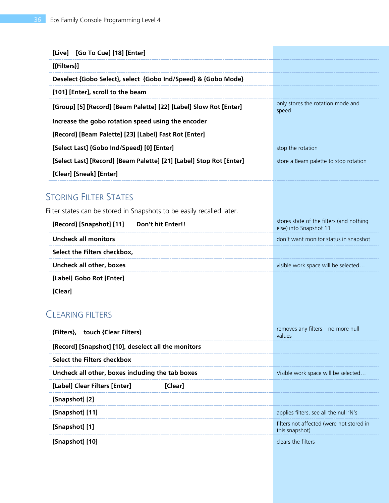| [Live] [Go To Cue] [18] [Enter]                                       |                                                                    |
|-----------------------------------------------------------------------|--------------------------------------------------------------------|
| [{Filters}]                                                           |                                                                    |
| Deselect {Gobo Select}, select {Gobo Ind/Speed} & {Gobo Mode}         |                                                                    |
| [101] [Enter], scroll to the beam                                     |                                                                    |
| [Group] [5] [Record] [Beam Palette] [22] [Label] Slow Rot [Enter]     | only stores the rotation mode and<br>speed                         |
| Increase the gobo rotation speed using the encoder                    |                                                                    |
| [Record] [Beam Palette] [23] [Label] Fast Rot [Enter]                 |                                                                    |
| [Select Last] {Gobo Ind/Speed} [0] [Enter]                            | stop the rotation                                                  |
| [Select Last] [Record] [Beam Palette] [21] [Label] Stop Rot [Enter]   | store a Beam palette to stop rotation                              |
| [Clear] [Sneak] [Enter]                                               |                                                                    |
| <b>STORING FILTER STATES</b>                                          |                                                                    |
| Filter states can be stored in Snapshots to be easily recalled later. |                                                                    |
| [Record] [Snapshot] [11]<br>Don't hit Enter!!                         | stores state of the filters (and nothing<br>else) into Snapshot 11 |
| <b>Uncheck all monitors</b>                                           | don't want monitor status in snapshot                              |
| Select the Filters checkbox,                                          |                                                                    |
| <b>Uncheck all other, boxes</b>                                       | visible work space will be selected                                |
| [Label] Gobo Rot [Enter]                                              |                                                                    |
| [Clear]                                                               |                                                                    |
| <b>CLEARING FILTERS</b>                                               |                                                                    |
| {Filters},<br>touch {Clear Filters}                                   | removes any filters - no more null<br>values                       |
| [Record] [Snapshot] [10], deselect all the monitors                   |                                                                    |
| Select the Filters checkbox                                           |                                                                    |
| Uncheck all other, boxes including the tab boxes                      | Visible work space will be selected                                |
| [Label] Clear Filters [Enter]<br>[Clear]                              |                                                                    |
| [Snapshot] [2]                                                        |                                                                    |
| [Snapshot] [11]                                                       | applies filters, see all the null 'N's                             |
| [Snapshot] [1]                                                        | filters not affected (were not stored in<br>this snapshot)         |
| [Snapshot] [10]                                                       | clears the filters                                                 |
|                                                                       |                                                                    |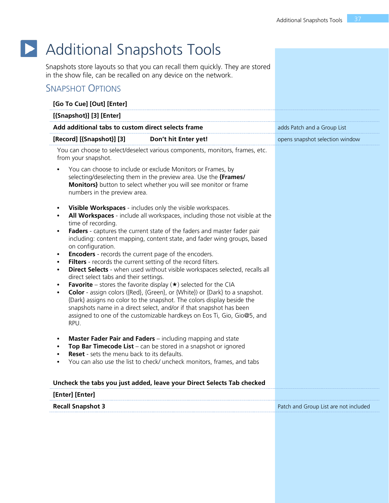# **D** Additional Snapshots Tools

<span id="page-36-0"></span>Snapshots store layouts so that you can recall them quickly. They are stored in the show file, can be recalled on any device on the network.

# SNAPSHOT OPTIONS

| [{Snapshot}] [3] [Enter]                                                                                                                                                                                                                                                                                                                      |                                                                                                                                                                                                                                                                                                                                                                                                                                                                                                                                                                                                                                                                                                                                                                                                                                                                                                                 |                                 |
|-----------------------------------------------------------------------------------------------------------------------------------------------------------------------------------------------------------------------------------------------------------------------------------------------------------------------------------------------|-----------------------------------------------------------------------------------------------------------------------------------------------------------------------------------------------------------------------------------------------------------------------------------------------------------------------------------------------------------------------------------------------------------------------------------------------------------------------------------------------------------------------------------------------------------------------------------------------------------------------------------------------------------------------------------------------------------------------------------------------------------------------------------------------------------------------------------------------------------------------------------------------------------------|---------------------------------|
| Add additional tabs to custom direct selects frame                                                                                                                                                                                                                                                                                            |                                                                                                                                                                                                                                                                                                                                                                                                                                                                                                                                                                                                                                                                                                                                                                                                                                                                                                                 | adds Patch and a Group List     |
| [Record] [{Snapshot}] [3]                                                                                                                                                                                                                                                                                                                     | Don't hit Enter yet!                                                                                                                                                                                                                                                                                                                                                                                                                                                                                                                                                                                                                                                                                                                                                                                                                                                                                            | opens snapshot selection window |
| from your snapshot.                                                                                                                                                                                                                                                                                                                           | You can choose to select/deselect various components, monitors, frames, etc.                                                                                                                                                                                                                                                                                                                                                                                                                                                                                                                                                                                                                                                                                                                                                                                                                                    |                                 |
| You can choose to include or exclude Monitors or Frames, by<br>selecting/deselecting them in the preview area. Use the {Frames/<br>Monitors} button to select whether you will see monitor or frame<br>numbers in the preview area.                                                                                                           |                                                                                                                                                                                                                                                                                                                                                                                                                                                                                                                                                                                                                                                                                                                                                                                                                                                                                                                 |                                 |
| time of recording.<br>$\bullet$<br>on configuration.<br>$\bullet$<br>$\bullet$<br>direct select tabs and their settings.<br>$\bullet$<br>$\bullet$<br>RPU.                                                                                                                                                                                    | Visible Workspaces - includes only the visible workspaces.<br>All Workspaces - include all workspaces, including those not visible at the<br>Faders - captures the current state of the faders and master fader pair<br>including: content mapping, content state, and fader wing groups, based<br><b>Encoders</b> - records the current page of the encoders.<br>Filters - records the current setting of the record filters.<br><b>Direct Selects</b> - when used without visible workspaces selected, recalls all<br><b>Favorite</b> – stores the favorite display $(\star)$ selected for the CIA<br>Color - assign colors ({Red}, {Green}, or {White}) or {Dark} to a snapshot.<br>{Dark} assigns no color to the snapshot. The colors display beside the<br>snapshots name in a direct select, and/or if that snapshot has been<br>assigned to one of the customizable hardkeys on Eos Ti, Gio, Gio@5, and |                                 |
| <b>Master Fader Pair and Faders</b> – including mapping and state<br>Top Bar Timecode List - can be stored in a snapshot or ignored<br><b>Reset</b> - sets the menu back to its defaults.<br>You can also use the list to check/ uncheck monitors, frames, and tabs<br>Uncheck the tabs you just added, leave your Direct Selects Tab checked |                                                                                                                                                                                                                                                                                                                                                                                                                                                                                                                                                                                                                                                                                                                                                                                                                                                                                                                 |                                 |
| [Enter] [Enter]                                                                                                                                                                                                                                                                                                                               |                                                                                                                                                                                                                                                                                                                                                                                                                                                                                                                                                                                                                                                                                                                                                                                                                                                                                                                 |                                 |
| <b>Recall Snapshot 3</b>                                                                                                                                                                                                                                                                                                                      |                                                                                                                                                                                                                                                                                                                                                                                                                                                                                                                                                                                                                                                                                                                                                                                                                                                                                                                 |                                 |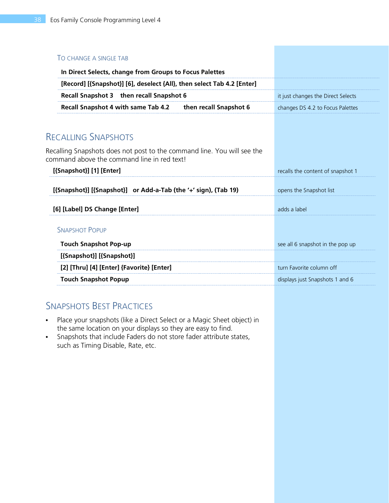| TO CHANGE A SINGLE TAB                                                                                                 |                                    |
|------------------------------------------------------------------------------------------------------------------------|------------------------------------|
| In Direct Selects, change from Groups to Focus Palettes                                                                |                                    |
| [Record] [{Snapshot}] [6], deselect {All}, then select Tab 4.2 [Enter]                                                 |                                    |
| Recall Snapshot 3 then recall Snapshot 6                                                                               | it just changes the Direct Selects |
| Recall Snapshot 4 with same Tab 4.2<br>then recall Snapshot 6                                                          | changes DS 4.2 to Focus Palettes   |
|                                                                                                                        |                                    |
| <b>RECALLING SNAPSHOTS</b>                                                                                             |                                    |
| Recalling Snapshots does not post to the command line. You will see the<br>command above the command line in red text! |                                    |
| [{Snapshot}] [1] [Enter]                                                                                               | recalls the content of snapshot 1  |
| [{Snapshot}] [{Snapshot}] or Add-a-Tab (the '+' sign), (Tab 19)                                                        | opens the Snapshot list            |
| [6] [Label] DS Change [Enter]                                                                                          | adds a label                       |
| <b>SNAPSHOT POPUP</b>                                                                                                  |                                    |
| <b>Touch Snapshot Pop-up</b>                                                                                           | see all 6 snapshot in the pop up   |
| [{Snapshot}] [{Snapshot}]                                                                                              |                                    |
| [2] [Thru] [4] [Enter] {Favorite} [Enter]                                                                              | turn Favorite column off           |
| <b>Touch Snapshot Popup</b>                                                                                            | displays just Snapshots 1 and 6    |

# SNAPSHOTS BEST PRACTICES

- **•** Place your snapshots (like a Direct Select or a Magic Sheet object) in the same location on your displays so they are easy to find.
- **•** Snapshots that include Faders do not store fader attribute states, such as Timing Disable, Rate, etc.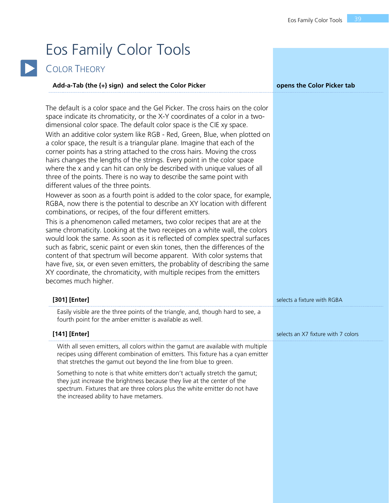# <span id="page-38-0"></span>Eos Family Color Tools



# COLOR THEORY

| Add-a-Tab (the {+} sign) and select the Color Picker                                                                                                                                                                                                                                                                                                                                                                                                                                                                                                                                                                                                                                                                                                                                                                                                                                                                                                                                                                                                                                                                                                                                                                                                                                                                                                                                                                                                                                                                                                                      | opens the Color Picker tab          |
|---------------------------------------------------------------------------------------------------------------------------------------------------------------------------------------------------------------------------------------------------------------------------------------------------------------------------------------------------------------------------------------------------------------------------------------------------------------------------------------------------------------------------------------------------------------------------------------------------------------------------------------------------------------------------------------------------------------------------------------------------------------------------------------------------------------------------------------------------------------------------------------------------------------------------------------------------------------------------------------------------------------------------------------------------------------------------------------------------------------------------------------------------------------------------------------------------------------------------------------------------------------------------------------------------------------------------------------------------------------------------------------------------------------------------------------------------------------------------------------------------------------------------------------------------------------------------|-------------------------------------|
| The default is a color space and the Gel Picker. The cross hairs on the color<br>space indicate its chromaticity, or the X-Y coordinates of a color in a two-<br>dimensional color space. The default color space is the CIE xy space.<br>With an additive color system like RGB - Red, Green, Blue, when plotted on<br>a color space, the result is a triangular plane. Imagine that each of the<br>corner points has a string attached to the cross hairs. Moving the cross<br>hairs changes the lengths of the strings. Every point in the color space<br>where the x and y can hit can only be described with unique values of all<br>three of the points. There is no way to describe the same point with<br>different values of the three points.<br>However as soon as a fourth point is added to the color space, for example,<br>RGBA, now there is the potential to describe an XY location with different<br>combinations, or recipes, of the four different emitters.<br>This is a phenomenon called metamers, two color recipes that are at the<br>same chromaticity. Looking at the two receipes on a white wall, the colors<br>would look the same. As soon as it is reflected of complex spectral surfaces<br>such as fabric, scenic paint or even skin tones, then the differences of the<br>content of that spectrum will become apparent. With color systems that<br>have five, six, or even seven emitters, the probablity of describing the same<br>XY coordinate, the chromaticity, with multiple recipes from the emitters<br>becomes much higher. |                                     |
| [301] [Enter]                                                                                                                                                                                                                                                                                                                                                                                                                                                                                                                                                                                                                                                                                                                                                                                                                                                                                                                                                                                                                                                                                                                                                                                                                                                                                                                                                                                                                                                                                                                                                             | selects a fixture with RGBA         |
| Easily visible are the three points of the triangle, and, though hard to see, a<br>fourth point for the amber emitter is available as well.                                                                                                                                                                                                                                                                                                                                                                                                                                                                                                                                                                                                                                                                                                                                                                                                                                                                                                                                                                                                                                                                                                                                                                                                                                                                                                                                                                                                                               |                                     |
| [141] [Enter]                                                                                                                                                                                                                                                                                                                                                                                                                                                                                                                                                                                                                                                                                                                                                                                                                                                                                                                                                                                                                                                                                                                                                                                                                                                                                                                                                                                                                                                                                                                                                             | selects an X7 fixture with 7 colors |
| With all seven emitters, all colors within the gamut are available with multiple<br>recipes using different combination of emitters. This fixture has a cyan emitter<br>that stretches the gamut out beyond the line from blue to green.<br>Something to note is that white emitters don't actually stretch the gamut;<br>they just increase the brightness because they live at the center of the<br>spectrum. Fixtures that are three colors plus the white emitter do not have<br>the increased ability to have metamers.                                                                                                                                                                                                                                                                                                                                                                                                                                                                                                                                                                                                                                                                                                                                                                                                                                                                                                                                                                                                                                              |                                     |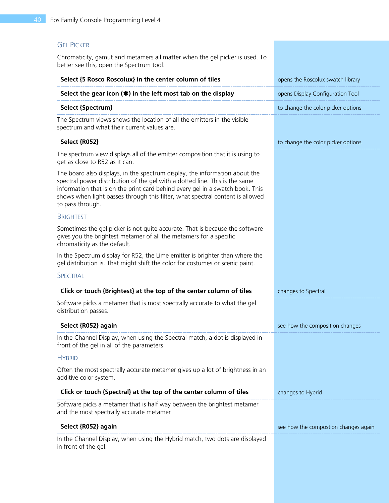### GEL PICKER

Chromaticity, gamut and metamers all matter when the gel picker is used. To better see this, open the Spectrum tool.

| Select {5 Rosco Roscolux} in the center column of tiles                                                                                                                                                                                                                                                                                          | opens the Roscolux swatch library    |
|--------------------------------------------------------------------------------------------------------------------------------------------------------------------------------------------------------------------------------------------------------------------------------------------------------------------------------------------------|--------------------------------------|
| Select the gear icon $(*)$ in the left most tab on the display                                                                                                                                                                                                                                                                                   | opens Display Configuration Tool     |
| <b>Select {Spectrum}</b>                                                                                                                                                                                                                                                                                                                         | to change the color picker options   |
| The Spectrum views shows the location of all the emitters in the visible<br>spectrum and what their current values are.                                                                                                                                                                                                                          |                                      |
| <b>Select {R052}</b>                                                                                                                                                                                                                                                                                                                             | to change the color picker options   |
| The spectrum view displays all of the emitter composition that it is using to<br>get as close to R52 as it can.                                                                                                                                                                                                                                  |                                      |
| The board also displays, in the spectrum display, the information about the<br>spectral power distribution of the gel with a dotted line. This is the same<br>information that is on the print card behind every gel in a swatch book. This<br>shows when light passes through this filter, what spectral content is allowed<br>to pass through. |                                      |
| <b>BRIGHTEST</b>                                                                                                                                                                                                                                                                                                                                 |                                      |
| Sometimes the gel picker is not quite accurate. That is because the software<br>gives you the brightest metamer of all the metamers for a specific<br>chromaticity as the default.                                                                                                                                                               |                                      |
| In the Spectrum display for R52, the Lime emitter is brighter than where the<br>gel distribution is. That might shift the color for costumes or scenic paint.                                                                                                                                                                                    |                                      |
| SPECTRAL                                                                                                                                                                                                                                                                                                                                         |                                      |
| Click or touch {Brightest} at the top of the center column of tiles                                                                                                                                                                                                                                                                              | changes to Spectral                  |
| Software picks a metamer that is most spectrally accurate to what the gel<br>distribution passes.                                                                                                                                                                                                                                                |                                      |
| Select {R052} again                                                                                                                                                                                                                                                                                                                              | see how the composition changes      |
| In the Channel Display, when using the Spectral match, a dot is displayed in<br>front of the gel in all of the parameters.                                                                                                                                                                                                                       |                                      |
| <b>HYBRID</b>                                                                                                                                                                                                                                                                                                                                    |                                      |
| Often the most spectrally accurate metamer gives up a lot of brightness in an<br>additive color system.                                                                                                                                                                                                                                          |                                      |
| Click or touch {Spectral} at the top of the center column of tiles                                                                                                                                                                                                                                                                               | changes to Hybrid                    |
| Software picks a metamer that is half way between the brightest metamer<br>and the most spectrally accurate metamer                                                                                                                                                                                                                              |                                      |
| Select {R052} again                                                                                                                                                                                                                                                                                                                              | see how the compostion changes again |
| In the Channel Display, when using the Hybrid match, two dots are displayed<br>in front of the gel.                                                                                                                                                                                                                                              |                                      |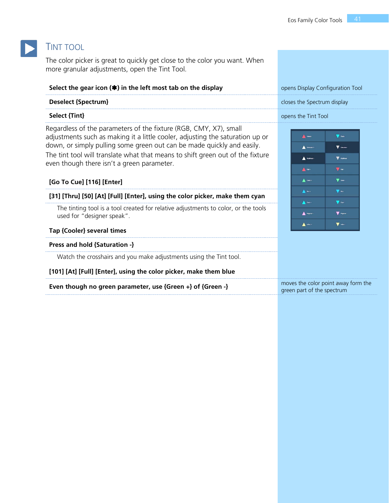### TINT TOOL

The color picker is great to quickly get close to the color you want. When more granular adjustments, open the Tint Tool.

**Select the gear icon () in the left most tab on the display** opens Display Configuration Tool

| select the gear icon (+) in the left most tab on the display | opens Display Conniquiation Tool |
|--------------------------------------------------------------|----------------------------------|
| <b>Deselect {Spectrum}</b>                                   | closes the Spectrum display      |
| Select {Tint}                                                | opens the Tint Tool              |

Regardless of the parameters of the fixture (RGB, CMY, X7), small adjustments such as making it a little cooler, adjusting the saturation up or down, or simply pulling some green out can be made quickly and easily. The tint tool will translate what that means to shift green out of the fixture even though there isn't a green parameter.

#### **[Go To Cue] [116] [Enter]**

#### **[31] [Thru] [50] [At] [Full] [Enter], using the color picker, make them cyan**

The tinting tool is a tool created for relative adjustments to color, or the tools used for "designer speak".

#### **Tap {Cooler} several times**

#### **Press and hold {Saturation -}**

Watch the crosshairs and you make adjustments using the Tint tool.

#### **[101] [At] [Full] [Enter], using the color picker, make them blue**

| Even though no green parameter, use ${Green +}$ of ${Green -}$ |  |  |  |
|----------------------------------------------------------------|--|--|--|
|----------------------------------------------------------------|--|--|--|

| Winner                 | $\blacktriangledown$ coder |
|------------------------|----------------------------|
| A Situation +          | V Sarvan-                  |
| A National C           | <b>V</b> again             |
| A Red-                 | $\nabla$ Red -             |
| $\triangle$ orax       | $\blacktriangledown$ ores. |
| A Bas                  | $\blacktriangledown$ as:   |
| $\bigwedge$ Cont       | $\blacktriangledown$ can-  |
| $\bigwedge$ Highla +   | <b>V</b> Hopma-            |
| $\blacktriangle$ was - | $\nabla$ where             |

moves the color point away form the

green part of the spectrum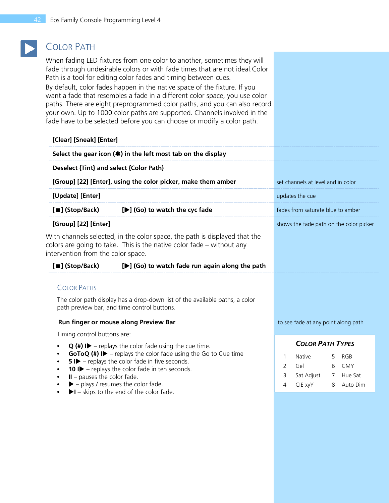# COLOR PATH

When fading LED fixtures from one color to another, sometimes they will fade through undesirable colors or with fade times that are not ideal.Color Path is a tool for editing color fades and timing between cues.

By default, color fades happen in the native space of the fixture. If you want a fade that resembles a fade in a different color space, you use color paths. There are eight preprogrammed color paths, and you can also record your own. Up to 1000 color paths are supported. Channels involved in the fade have to be selected before you can choose or modify a color path.

| [Clear] [Sneak] [Enter]                                                                                                                                                                                                                   |                                                                             |                         |                                     |        |                                         |
|-------------------------------------------------------------------------------------------------------------------------------------------------------------------------------------------------------------------------------------------|-----------------------------------------------------------------------------|-------------------------|-------------------------------------|--------|-----------------------------------------|
| Select the gear icon $(*)$ in the left most tab on the display                                                                                                                                                                            |                                                                             |                         |                                     |        |                                         |
| Deselect {Tint} and select {Color Path}                                                                                                                                                                                                   |                                                                             |                         |                                     |        |                                         |
| [Group] [22] [Enter], using the color picker, make them amber                                                                                                                                                                             |                                                                             |                         | set channels at level and in color  |        |                                         |
| [Update] [Enter]                                                                                                                                                                                                                          |                                                                             |                         | updates the cue                     |        |                                         |
| [■] (Stop/Back)                                                                                                                                                                                                                           | [▶] (Go) to watch the cyc fade                                              |                         | fades from saturate blue to amber   |        |                                         |
| [Group] [22] [Enter]                                                                                                                                                                                                                      |                                                                             |                         |                                     |        | shows the fade path on the color picker |
| colors are going to take. This is the native color fade $-$ without any<br>intervention from the color space.                                                                                                                             | With channels selected, in the color space, the path is displayed that the  |                         |                                     |        |                                         |
| [■] (Stop/Back)                                                                                                                                                                                                                           | [▶] (Go) to watch fade run again along the path                             |                         |                                     |        |                                         |
| <b>COLOR PATHS</b>                                                                                                                                                                                                                        |                                                                             |                         |                                     |        |                                         |
| path preview bar, and time control buttons.                                                                                                                                                                                               | The color path display has a drop-down list of the available paths, a color |                         |                                     |        |                                         |
| Run finger or mouse along Preview Bar                                                                                                                                                                                                     |                                                                             |                         | to see fade at any point along path |        |                                         |
| Timing control buttons are:<br>$Q$ (#) I – replays the color fade using the cue time.                                                                                                                                                     |                                                                             | <b>COLOR PATH TYPES</b> |                                     |        |                                         |
| <b>GoToQ (#) ID</b> – replays the color fade using the Go to Cue time<br><b>5 ID</b> – replays the color fade in five seconds.<br>٠<br>10 $\blacktriangleright$ - replays the color fade in ten seconds.<br>$II$ – pauses the color fade. |                                                                             | 1<br>2<br>3<br>4        | Native<br>Gel<br>Sat Adjust         | 5<br>6 | RGB<br>CMY<br>7 Hue Sat                 |
| $\blacktriangleright$ - plays / resumes the color fade.<br>$\bullet$                                                                                                                                                                      |                                                                             |                         | CIE xyY                             | 8      | Auto Dim                                |

**• I** – skips to the end of the color fade.

| ້ | $30000$ $10000$ | .          |
|---|-----------------|------------|
| 4 | CIE xyY         | 8 Auto Dim |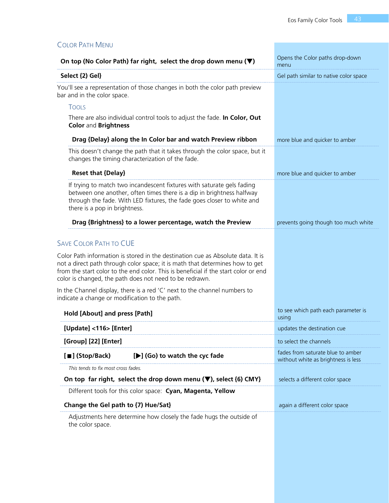| <b>COLOR PATH MENU</b>                                                                                                                                                                                                                                                                                            |                                                                          |
|-------------------------------------------------------------------------------------------------------------------------------------------------------------------------------------------------------------------------------------------------------------------------------------------------------------------|--------------------------------------------------------------------------|
| On top (No Color Path) far right, select the drop down menu $(\blacktriangledown)$                                                                                                                                                                                                                                | Opens the Color paths drop-down<br>menu                                  |
| Select {2) Gel}                                                                                                                                                                                                                                                                                                   | Gel path similar to native color space                                   |
| You'll see a representation of those changes in both the color path preview<br>bar and in the color space.                                                                                                                                                                                                        |                                                                          |
| <b>TOOLS</b>                                                                                                                                                                                                                                                                                                      |                                                                          |
| There are also individual control tools to adjust the fade. In Color, Out<br><b>Color and Brightness</b>                                                                                                                                                                                                          |                                                                          |
| Drag {Delay} along the In Color bar and watch Preview ribbon                                                                                                                                                                                                                                                      | more blue and quicker to amber                                           |
| This doesn't change the path that it takes through the color space, but it<br>changes the timing characterization of the fade.                                                                                                                                                                                    |                                                                          |
| <b>Reset that {Delay}</b>                                                                                                                                                                                                                                                                                         | more blue and quicker to amber                                           |
| If trying to match two incandescent fixtures with saturate gels fading<br>between one another, often times there is a dip in brightness halfway<br>through the fade. With LED fixtures, the fade goes closer to white and<br>there is a pop in brightness.                                                        |                                                                          |
| Drag {Brightness} to a lower percentage, watch the Preview                                                                                                                                                                                                                                                        | prevents going though too much white                                     |
| <b>SAVE COLOR PATH TO CUE</b>                                                                                                                                                                                                                                                                                     |                                                                          |
| Color Path information is stored in the destination cue as Absolute data. It is<br>not a direct path through color space; it is math that determines how to get<br>from the start color to the end color. This is beneficial if the start color or end<br>color is changed, the path does not need to be redrawn. |                                                                          |
| In the Channel display, there is a red 'C' next to the channel numbers to<br>indicate a change or modification to the path.                                                                                                                                                                                       |                                                                          |
| Hold [About] and press [Path]                                                                                                                                                                                                                                                                                     | to see which path each parameter is<br>using                             |
| [Update] <116> [Enter]                                                                                                                                                                                                                                                                                            | updates the destination cue                                              |
| [Group] [22] [Enter]                                                                                                                                                                                                                                                                                              | to select the channels                                                   |
| [■] (Stop/Back)<br>[D] (Go) to watch the cyc fade                                                                                                                                                                                                                                                                 | fades from saturate blue to amber<br>without white as brightness is less |
| This tends to fix most cross fades.                                                                                                                                                                                                                                                                               |                                                                          |
| On top far right, select the drop down menu $(\nabla)$ , select {6} CMY}                                                                                                                                                                                                                                          | selects a different color space                                          |
| Different tools for this color space: Cyan, Magenta, Yellow                                                                                                                                                                                                                                                       |                                                                          |
| Change the Gel path to {7) Hue/Sat}                                                                                                                                                                                                                                                                               | again a different color space                                            |
| Adjustments here determine how closely the fade hugs the outside of<br>the color space.                                                                                                                                                                                                                           |                                                                          |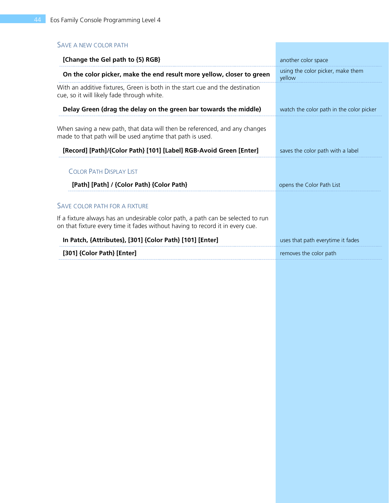# SAVE A NEW COLOR PATH

| [Change the Gel path to {5) RGB}                                                                                                                                  | another color space                         |
|-------------------------------------------------------------------------------------------------------------------------------------------------------------------|---------------------------------------------|
| On the color picker, make the end result more yellow, closer to green                                                                                             | using the color picker, make them<br>yellow |
| With an additive fixtures, Green is both in the start cue and the destination<br>cue, so it will likely fade through white.                                       |                                             |
| Delay Green (drag the delay on the green bar towards the middle)                                                                                                  | watch the color path in the color picker    |
| When saving a new path, that data will then be referenced, and any changes<br>made to that path will be used anytime that path is used.                           |                                             |
| [Record] [Path]/{Color Path} [101] [Label] RGB-Avoid Green [Enter]                                                                                                | saves the color path with a label           |
| <b>COLOR PATH DISPLAY LIST</b>                                                                                                                                    |                                             |
| [Path] [Path] / {Color Path} {Color Path}                                                                                                                         | opens the Color Path List                   |
| <b>SAVE COLOR PATH FOR A FIXTURE</b>                                                                                                                              |                                             |
| If a fixture always has an undesirable color path, a path can be selected to run<br>on that fixture every time it fades without having to record it in every cue. |                                             |
| In Patch, {Attributes}, [301] {Color Path} [101] [Enter]                                                                                                          | uses that path everytime it fades           |
| [301] {Color Path} [Enter]                                                                                                                                        | removes the color path                      |